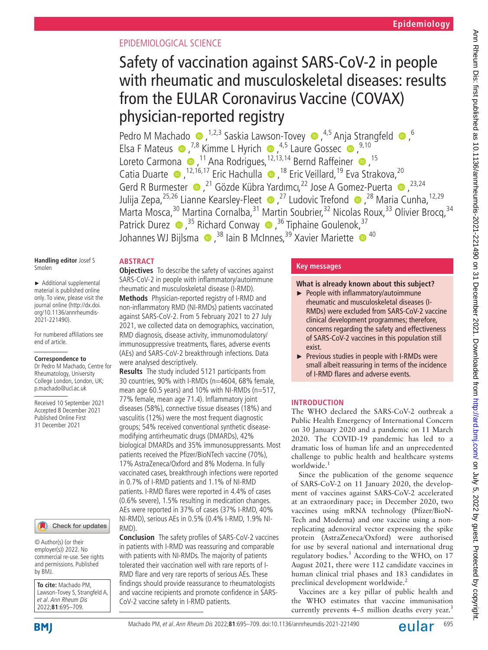## EPIDEMIOLOGICAL SCIENCE

# Safety of vaccination against SARS-CoV-2 in people with rheumatic and musculoskeletal diseases: results from the EULAR Coronavirus Vaccine (COVAX) physician-reported registry

PedroM Machado  $\bullet$ , <sup>1,2,3</sup> Saskia Lawson-Tovey  $\bullet$ , <sup>4,5</sup> Anja Strangfeld  $\bullet$ , <sup>6</sup> ElsaF Mateus  $\bullet$ ,<sup>7,8</sup> Kimme L Hyrich  $\bullet$ ,<sup>4,5</sup> Laure Gossec  $\bullet$ ,<sup>9,10</sup> LoretoCarmona (D, <sup>11</sup> Ana Rodrigues, <sup>12, 13, 14</sup> Bernd Raffeiner (D, <sup>15</sup> CatiaDuarte (al. 12,16,17 Eric Hachulla (al. 18 Eric Veillard, <sup>19</sup> Eva Strakova, <sup>20</sup> GerdR Burmester  $\bullet$ ,<sup>21</sup> Gözde Kübra Yardımcı,<sup>22</sup> Jose A Gomez-Puerta  $\bullet$ ,<sup>23,24</sup> Julija Zepa,<sup>25,26</sup> Lianne Kearsley-Fleet  $\bullet$ ,<sup>27</sup> Ludovic Trefond  $\bullet$ ,<sup>28</sup> Maria Cunha,<sup>12,29</sup> Marta Mosca,<sup>30</sup> Martina Cornalba,<sup>31</sup> Martin Soubrier,<sup>32</sup> Nicolas Roux,<sup>33</sup> Olivier Brocq,<sup>34</sup> Patrick Durez  $\bullet$ ,<sup>35</sup> Richard Conway  $\bullet$ ,<sup>36</sup> Tiphaine Goulenok,<sup>37</sup> Johannes WJ Bijlsma  $\bullet$ ,<sup>38</sup> Iain B McInnes,<sup>39</sup> Xavier Mariette  $\bullet$ <sup>40</sup>

#### **Handling editor** Josef S Smolen

**ABSTRACT**

► Additional supplemental material is published online only. To view, please visit the journal online ([http://dx.doi.](http://dx.doi.org/10.1136/annrheumdis-2021-221490) [org/10.1136/annrheumdis-](http://dx.doi.org/10.1136/annrheumdis-2021-221490)[2021-221490\)](http://dx.doi.org/10.1136/annrheumdis-2021-221490).

For numbered affiliations see end of article.

## **Correspondence to**

Dr Pedro M Machado, Centre for Rheumatology, University College London, London, UK; p.machado@ucl.ac.uk

Received 10 September 2021 Accepted 8 December 2021 Published Online First 31 December 2021

## Check for updates

© Author(s) (or their employer(s)) 2022. No commercial re-use. See rights and permissions. Published by BMJ.

**To cite:** Machado PM, Lawson-Tovey S, Strangfeld A, et al. Ann Rheum Dis 2022;**81**:695–709.

**Objectives** To describe the safety of vaccines against SARS-CoV-2 in people with inflammatory/autoimmune rheumatic and musculoskeletal disease (I-RMD). **Methods** Physician-reported registry of I-RMD and non-inflammatory RMD (NI-RMDs) patients vaccinated against SARS-CoV-2. From 5 February 2021 to 27 July 2021, we collected data on demographics, vaccination, RMD diagnosis, disease activity, immunomodulatory/ immunosuppressive treatments, flares, adverse events (AEs) and SARS-CoV-2 breakthrough infections. Data were analysed descriptively.

**Results** The study included 5121 participants from 30 countries, 90% with I-RMDs (n=4604, 68% female, mean age 60.5 years) and 10% with NI-RMDs (n=517, 77% female, mean age 71.4). Inflammatory joint diseases (58%), connective tissue diseases (18%) and vasculitis (12%) were the most frequent diagnostic groups; 54% received conventional synthetic diseasemodifying antirheumatic drugs (DMARDs), 42% biological DMARDs and 35% immunosuppressants. Most patients received the Pfizer/BioNTech vaccine (70%), 17% AstraZeneca/Oxford and 8% Moderna. In fully vaccinated cases, breakthrough infections were reported in 0.7% of I-RMD patients and 1.1% of NI-RMD patients. I-RMD flares were reported in 4.4% of cases (0.6% severe), 1.5% resulting in medication changes. AEs were reported in 37% of cases (37% I-RMD, 40% NI-RMD), serious AEs in 0.5% (0.4% I-RMD, 1.9% NI-RMD).

**Conclusion** The safety profiles of SARS-CoV-2 vaccines in patients with I-RMD was reassuring and comparable with patients with NI-RMDs. The majority of patients tolerated their vaccination well with rare reports of I-RMD flare and very rare reports of serious AEs. These findings should provide reassurance to rheumatologists and vaccine recipients and promote confidence in SARS-CoV-2 vaccine safety in I-RMD patients.

## **Key messages**

## **What is already known about this subject?**

- ► People with inflammatory/autoimmune rheumatic and musculoskeletal diseases (I-RMDs) were excluded from SARS-CoV-2 vaccine clinical development programmes; therefore, concerns regarding the safety and effectiveness of SARS-CoV-2 vaccines in this population still exist.
- ► Previous studies in people with I-RMDs were small albeit reassuring in terms of the incidence of I-RMD flares and adverse events.

## **INTRODUCTION**

The WHO declared the SARS-CoV-2 outbreak a Public Health Emergency of International Concern on 30 January 2020 and a pandemic on 11 March 2020. The COVID-19 pandemic has led to a dramatic loss of human life and an unprecedented challenge to public health and healthcare systems worldwide.<sup>1</sup>

Since the publication of the genome sequence of SARS-CoV-2 on 11 January 2020, the development of vaccines against SARS-CoV-2 accelerated at an extraordinary pace; in December 2020, two vaccines using mRNA technology (Pfizer/BioN-Tech and Moderna) and one vaccine using a nonreplicating adenoviral vector expressing the spike protein (AstraZeneca/Oxford) were authorised for use by several national and international drug regulatory bodies.<sup>[1](#page-14-0)</sup> According to the WHO, on 17 August 2021, there were 112 candidate vaccines in human clinical trial phases and 183 candidates in preclinical development worldwide.<sup>2</sup>

Vaccines are a key pillar of public health and the WHO estimates that vaccine immunisation currently prevents  $4-5$  million deaths every year.<sup>[3](#page-14-2)</sup>

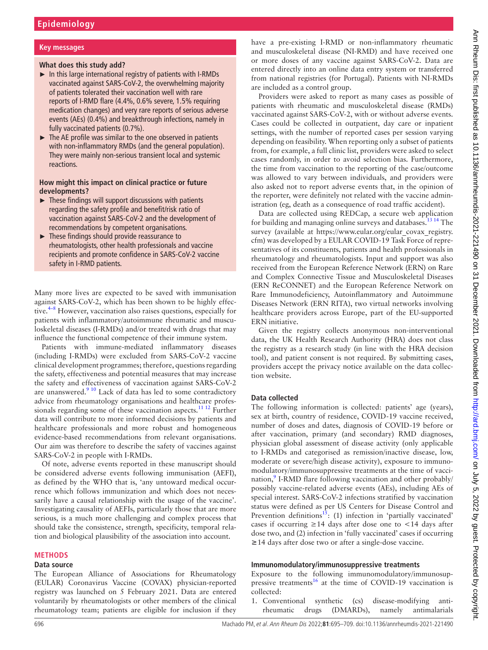## **Key messages**

### **What does this study add?**

- $\blacktriangleright$  In this large international registry of patients with I-RMDs vaccinated against SARS-CoV-2, the overwhelming majority of patients tolerated their vaccination well with rare reports of I-RMD flare (4.4%, 0.6% severe, 1.5% requiring medication changes) and very rare reports of serious adverse events (AEs) (0.4%) and breakthrough infections, namely in fully vaccinated patients (0.7%).
- ► The AE profile was similar to the one observed in patients with non-inflammatory RMDs (and the general population). They were mainly non-serious transient local and systemic reactions.

## **How might this impact on clinical practice or future developments?**

- $\blacktriangleright$  These findings will support discussions with patients regarding the safety profile and benefit/risk ratio of vaccination against SARS-CoV-2 and the development of recommendations by competent organisations.
- ► These findings should provide reassurance to rheumatologists, other health professionals and vaccine recipients and promote confidence in SARS-CoV-2 vaccine safety in I-RMD patients.

Many more lives are expected to be saved with immunisation against SARS-CoV-2, which has been shown to be highly effec-tive.<sup>[4–8](#page-14-3)</sup> However, vaccination also raises questions, especially for patients with inflammatory/autoimmune rheumatic and musculoskeletal diseases (I-RMDs) and/or treated with drugs that may influence the functional competence of their immune system.

Patients with immune-mediated inflammatory diseases (including I-RMDs) were excluded from SARS-CoV-2 vaccine clinical development programmes; therefore, questions regarding the safety, effectiveness and potential measures that may increase the safety and effectiveness of vaccination against SARS-CoV-2 are unanswered. $910$  Lack of data has led to some contradictory advice from rheumatology organisations and healthcare profes-sionals regarding some of these vaccination aspects.<sup>[11 12](#page-14-5)</sup> Further data will contribute to more informed decisions by patients and healthcare professionals and more robust and homogeneous evidence-based recommendations from relevant organisations. Our aim was therefore to describe the safety of vaccines against SARS-CoV-2 in people with I-RMDs.

Of note, adverse events reported in these manuscript should be considered adverse events following immunisation (AEFI), as defined by the WHO that is, 'any untoward medical occurrence which follows immunization and which does not necessarily have a causal relationship with the usage of the vaccine'. Investigating causality of AEFIs, particularly those that are more serious, is a much more challenging and complex process that should take the consistence, strength, specificity, temporal relation and biological plausibility of the association into account.

#### **METHODS**

#### **Data source**

The European Alliance of Associations for Rheumatology (EULAR) Coronavirus Vaccine (COVAX) physician-reported registry was launched on 5 February 2021. Data are entered voluntarily by rheumatologists or other members of the clinical rheumatology team; patients are eligible for inclusion if they

have a pre-existing I-RMD or non-inflammatory rheumatic and musculoskeletal disease (NI-RMD) and have received one or more doses of any vaccine against SARS-CoV-2. Data are entered directly into an online data entry system or transferred from national registries (for Portugal). Patients with NI-RMDs are included as a control group.

Providers were asked to report as many cases as possible of patients with rheumatic and musculoskeletal disease (RMDs) vaccinated against SARS-CoV-2, with or without adverse events. Cases could be collected in outpatient, day care or inpatient settings, with the number of reported cases per session varying depending on feasibility. When reporting only a subset of patients from, for example, a full clinic list, providers were asked to select cases randomly, in order to avoid selection bias. Furthermore, the time from vaccination to the reporting of the case/outcome was allowed to vary between individuals, and providers were also asked not to report adverse events that, in the opinion of the reporter, were definitely not related with the vaccine administration (eg, death as a consequence of road traffic accident).

Data are collected using REDCap, a secure web application for building and managing online surveys and databases.<sup>13 14</sup> The survey (available at [https://www.eular.org/eular\\_covax\\_registry.](https://www.eular.org/eular_covax_registry.cfm) [cfm](https://www.eular.org/eular_covax_registry.cfm)) was developed by a EULAR COVID-19 Task Force of representatives of its constituents, patients and health professionals in rheumatology and rheumatologists. Input and support was also received from the European Reference Network (ERN) on Rare and Complex Connective Tissue and Musculoskeletal Diseases (ERN ReCONNET) and the European Reference Network on Rare Immunodeficiency, Autoinflammatory and Autoimmune Diseases Network (ERN RITA), two virtual networks involving healthcare providers across Europe, part of the EU-supported ERN initiative.

Given the registry collects anonymous non-interventional data, the UK Health Research Authority (HRA) does not class the registry as a research study (in line with the HRA decision tool), and patient consent is not required. By submitting cases, providers accept the privacy notice available on the data collection website.

## **Data collected**

The following information is collected: patients' age (years), sex at birth, country of residence, COVID-19 vaccine received, number of doses and dates, diagnosis of COVID-19 before or after vaccination, primary (and secondary) RMD diagnoses, physician global assessment of disease activity (only applicable to I-RMDs and categorised as remission/inactive disease, low, moderate or severe/high disease activity), exposure to immunomodulatory/immunosuppressive treatments at the time of vacci-nation,<sup>[9](#page-14-4)</sup> I-RMD flare following vaccination and other probably/ possibly vaccine-related adverse events (AEs), including AEs of special interest. SARS-CoV-2 infections stratified by vaccination status were defined as per US Centers for Disease Control and Prevention definitions<sup>13</sup>: (1) infection in 'partially vaccinated' cases if occurring  $\geq$  14 days after dose one to <14 days after dose two, and (2) infection in 'fully vaccinated' cases if occurring **≥**14 days after dose two or after a single-dose vaccine.

#### **Immunomodulatory/immunosuppressive treatments**

Exposure to the following immunomodulatory/immunosup-pressive treatments<sup>[16](#page-14-8)</sup> at the time of COVID-19 vaccination is collected:

1. Conventional synthetic (cs) disease-modifying antirheumatic drugs (DMARDs), namely antimalarials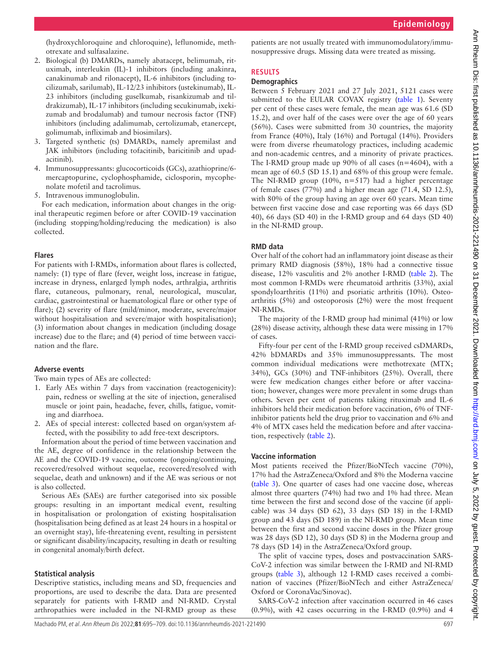(hydroxychloroquine and chloroquine), leflunomide, methotrexate and sulfasalazine.

- 2. Biological (b) DMARDs, namely abatacept, belimumab, rituximab, interleukin (IL)-1 inhibitors (including anakinra, canakinumab and rilonacept), IL-6 inhibitors (including tocilizumab, sarilumab), IL-12/23 inhibitors (ustekinumab), IL-23 inhibitors (including guselkumab, risankizumab and tildrakizumab), IL-17 inhibitors (including secukinumab, ixekizumab and brodalumab) and tumour necrosis factor (TNF) inhibitors (including adalimumab, certolizumab, etanercept, golimumab, infliximab and biosimilars).
- 3. Targeted synthetic (ts) DMARDs, namely apremilast and JAK inhibitors (including tofacitinib, baricitinib and upadacitinib).
- 4. Immunosuppressants: glucocorticoids (GCs), azathioprine/6 mercaptopurine, cyclophosphamide, ciclosporin, mycophenolate mofetil and tacrolimus.
- 5. Intravenous immunoglobulin.

For each medication, information about changes in the original therapeutic regimen before or after COVID-19 vaccination (including stopping/holding/reducing the medication) is also collected.

## **Flares**

For patients with I-RMDs, information about flares is collected, namely: (1) type of flare (fever, weight loss, increase in fatigue, increase in dryness, enlarged lymph nodes, arthralgia, arthritis flare, cutaneous, pulmonary, renal, neurological, muscular, cardiac, gastrointestinal or haematological flare or other type of flare); (2) severity of flare (mild/minor, moderate, severe/major without hospitalisation and severe/major with hospitalisation); (3) information about changes in medication (including dosage increase) due to the flare; and (4) period of time between vaccination and the flare.

## **Adverse events**

Two main types of AEs are collected:

- 1. Early AEs within 7 days from vaccination (reactogenicity): pain, redness or swelling at the site of injection, generalised muscle or joint pain, headache, fever, chills, fatigue, vomiting and diarrhoea.
- 2. AEs of special interest: collected based on organ/system affected, with the possibility to add free-text descriptors.

Information about the period of time between vaccination and the AE, degree of confidence in the relationship between the AE and the COVID-19 vaccine, outcome (ongoing/continuing, recovered/resolved without sequelae, recovered/resolved with sequelae, death and unknown) and if the AE was serious or not is also collected.

Serious AEs (SAEs) are further categorised into six possible groups: resulting in an important medical event, resulting in hospitalisation or prolongation of existing hospitalisation (hospitalisation being defined as at least 24 hours in a hospital or an overnight stay), life-threatening event, resulting in persistent or significant disability/incapacity, resulting in death or resulting in congenital anomaly/birth defect.

## **Statistical analysis**

Descriptive statistics, including means and SD, frequencies and proportions, are used to describe the data. Data are presented separately for patients with I-RMD and NI-RMD. Crystal arthropathies were included in the NI-RMD group as these

patients are not usually treated with immunomodulatory/immunosuppressive drugs. Missing data were treated as missing.

## **RESULTS**

## **Demographics**

Between 5 February 2021 and 27 July 2021, 5121 cases were submitted to the EULAR COVAX registry [\(table](#page-3-0) 1). Seventy per cent of these cases were female, the mean age was 61.6 (SD 15.2), and over half of the cases were over the age of 60 years (56%). Cases were submitted from 30 countries, the majority from France (40%), Italy (16%) and Portugal (14%). Providers were from diverse rheumatology practices, including academic and non-academic centres, and a minority of private practices. The I-RMD group made up 90% of all cases (n=4604), with a mean age of 60.5 (SD 15.1) and 68% of this group were female. The NI-RMD group  $(10\%, n=517)$  had a higher percentage of female cases (77%) and a higher mean age (71.4, SD 12.5), with 80% of the group having an age over 60 years. Mean time between first vaccine dose and case reporting was 66 days (SD 40), 66 days (SD 40) in the I-RMD group and 64 days (SD 40) in the NI-RMD group.

## **RMD data**

Over half of the cohort had an inflammatory joint disease as their primary RMD diagnosis (58%), 18% had a connective tissue disease, 12% vasculitis and 2% another I-RMD ([table](#page-4-0) 2). The most common I-RMDs were rheumatoid arthritis (33%), axial spondyloarthritis (11%) and psoriatic arthritis (10%). Osteoarthritis (5%) and osteoporosis (2%) were the most frequent NI-RMDs.

The majority of the I-RMD group had minimal (41%) or low (28%) disease activity, although these data were missing in 17% of cases.

Fifty-four per cent of the I-RMD group received csDMARDs, 42% bDMARDs and 35% immunosuppressants. The most common individual medications were methotrexate (MTX; 34%), GCs (30%) and TNF-inhibitors (25%). Overall, there were few medication changes either before or after vaccination; however, changes were more prevalent in some drugs than others. Seven per cent of patients taking rituximab and IL-6 inhibitors held their medication before vaccination, 6% of TNFinhibitor patients held the drug prior to vaccination and 6% and 4% of MTX cases held the medication before and after vaccination, respectively ([table](#page-4-0) 2).

## **Vaccine information**

Most patients received the Pfizer/BioNTech vaccine (70%), 17% had the AstraZeneca/Oxford and 8% the Moderna vaccine ([table](#page-5-0) 3). One quarter of cases had one vaccine dose, whereas almost three quarters (74%) had two and 1% had three. Mean time between the first and second dose of the vaccine (if applicable) was 34 days (SD 62), 33 days (SD 18) in the I-RMD group and 43 days (SD 189) in the NI-RMD group. Mean time between the first and second vaccine doses in the Pfizer group was 28 days (SD 12), 30 days (SD 8) in the Moderna group and 78 days (SD 14) in the AstraZeneca/Oxford group.

The split of vaccine types, doses and postvaccination SARS-CoV-2 infection was similar between the I-RMD and NI-RMD groups ([table](#page-5-0) 3), although 12 I-RMD cases received a combination of vaccines (Pfizer/BioNTech and either AstraZeneca/ Oxford or CoronaVac/Sinovac).

SARS-CoV-2 infection after vaccination occurred in 46 cases (0.9%), with 42 cases occurring in the I-RMD (0.9%) and 4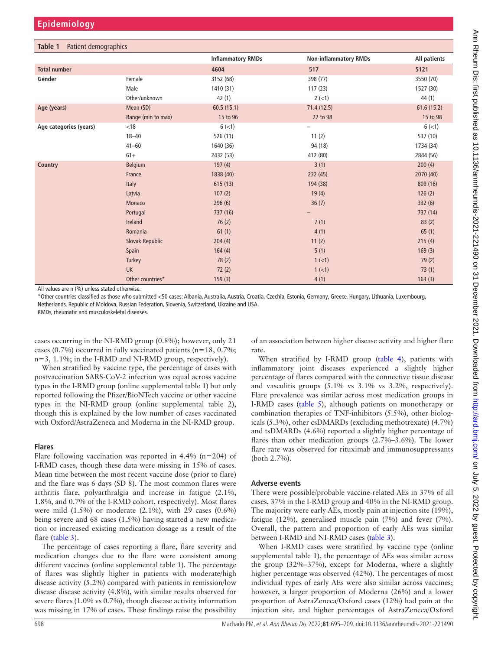<span id="page-3-0"></span>

|                        |                    | <b>Inflammatory RMDs</b> | <b>Non-inflammatory RMDs</b> | All patients |
|------------------------|--------------------|--------------------------|------------------------------|--------------|
| <b>Total number</b>    |                    | 4604                     | 517                          | 5121         |
| Gender                 | Female             | 3152 (68)                | 398 (77)                     | 3550 (70)    |
|                        | Male               | 1410 (31)                | 117(23)                      | 1527 (30)    |
|                        | Other/unknown      | 42(1)                    | $2(-1)$                      | 44 (1)       |
| Age (years)            | Mean (SD)          | 60.5(15.1)               | 71.4(12.5)                   | 61.6(15.2)   |
|                        | Range (min to max) | 15 to 96                 | 22 to 98                     | 15 to 98     |
| Age categories (years) | < 18               | $6(-1)$                  | -                            | $6(-1)$      |
|                        | $18 - 40$          | 526 (11)                 | 11(2)                        | 537 (10)     |
|                        | $41 - 60$          | 1640 (36)                | 94 (18)                      | 1734 (34)    |
|                        | $61+$              | 2432 (53)                | 412 (80)                     | 2844 (56)    |
| Country                | <b>Belgium</b>     | 197(4)                   | 3(1)                         | 200(4)       |
|                        | France             | 1838 (40)                | 232(45)                      | 2070 (40)    |
|                        | Italy              | 615(13)                  | 194 (38)                     | 809 (16)     |
|                        | Latvia             | 107(2)                   | 19(4)                        | 126(2)       |
|                        | Monaco             | 296(6)                   | 36(7)                        | 332(6)       |
|                        | Portugal           | 737 (16)                 |                              | 737 (14)     |
|                        | Ireland            | 76(2)                    | 7(1)                         | 83(2)        |
|                        | Romania            | 61(1)                    | 4(1)                         | 65(1)        |
|                        | Slovak Republic    | 204(4)                   | 11(2)                        | 215(4)       |
|                        | Spain              | 164(4)                   | 5(1)                         | 169(3)       |
|                        | Turkey             | 78(2)                    | $1 (-1)$                     | 79(2)        |
|                        | <b>UK</b>          | 72(2)                    | $1 (-1)$                     | 73(1)        |
|                        | Other countries*   | 159(3)                   | 4(1)                         | 163(3)       |

All values are n (%) unless stated otherwise.

\*Other countries classified as those who submitted <50 cases: Albania, Australia, Austria, Croatia, Czechia, Estonia, Germany, Greece, Hungary, Lithuania, Luxembourg, Netherlands, Republic of Moldova, Russian Federation, Slovenia, Switzerland, Ukraine and USA.

RMDs, rheumatic and musculoskeletal diseases.

cases occurring in the NI-RMD group (0.8%); however, only 21 cases (0.7%) occurred in fully vaccinated patients ( $n=18$ , 0.7%; n=3, 1.1%; in the I-RMD and NI-RMD group, respectively).

When stratified by vaccine type, the percentage of cases with postvaccination SARS-CoV-2 infection was equal across vaccine types in the I-RMD group [\(online supplemental table 1\)](https://dx.doi.org/10.1136/annrheumdis-2021-221490) but only reported following the Pfizer/BioNTech vaccine or other vaccine types in the NI-RMD group ([online supplemental table 2](https://dx.doi.org/10.1136/annrheumdis-2021-221490)), though this is explained by the low number of cases vaccinated with Oxford/AstraZeneca and Moderna in the NI-RMD group.

## **Flares**

Flare following vaccination was reported in  $4.4\%$  (n=204) of I-RMD cases, though these data were missing in 15% of cases. Mean time between the most recent vaccine dose (prior to flare) and the flare was 6 days (SD 8). The most common flares were arthritis flare, polyarthralgia and increase in fatigue (2.1%, 1.8%, and 0.7% of the I-RMD cohort, respectively). Most flares were mild (1.5%) or moderate (2.1%), with 29 cases (0.6%) being severe and 68 cases (1.5%) having started a new medication or increased existing medication dosage as a result of the flare ([table](#page-5-0) 3).

The percentage of cases reporting a flare, flare severity and medication changes due to the flare were consistent among different vaccines ([online supplemental table 1](https://dx.doi.org/10.1136/annrheumdis-2021-221490)). The percentage of flares was slightly higher in patients with moderate/high disease activity (5.2%) compared with patients in remission/low disease disease activity (4.8%), with similar results observed for severe flares (1.0% vs 0.7%), though disease activity information was missing in 17% of cases. These findings raise the possibility

of an association between higher disease activity and higher flare rate.

When stratified by I-RMD group ([table](#page-7-0) 4), patients with inflammatory joint diseases experienced a slightly higher percentage of flares compared with the connective tissue disease and vasculitis groups (5.1% vs 3.1% vs 3.2%, respectively). Flare prevalence was similar across most medication groups in I-RMD cases [\(table](#page-7-1) 5), although patients on monotherapy or combination therapies of TNF-inhibitors (5.5%), other biologicals (5.3%), other csDMARDs (excluding methotrexate) (4.7%) and tsDMARDs (4.6%) reported a slightly higher percentage of flares than other medication groups (2.7%–3.6%). The lower flare rate was observed for rituximab and immunosuppressants (both 2.7%).

## **Adverse events**

There were possible/probable vaccine-related AEs in 37% of all cases, 37% in the I-RMD group and 40% in the NI-RMD group. The majority were early AEs, mostly pain at injection site (19%), fatigue (12%), generalised muscle pain (7%) and fever (7%). Overall, the pattern and proportion of early AEs was similar between I-RMD and NI-RMD cases ([table](#page-5-0) 3).

When I-RMD cases were stratified by vaccine type [\(online](https://dx.doi.org/10.1136/annrheumdis-2021-221490) [supplemental table 1](https://dx.doi.org/10.1136/annrheumdis-2021-221490)), the percentage of AEs was similar across the group (32%–37%), except for Moderna, where a slightly higher percentage was observed (42%). The percentages of most individual types of early AEs were also similar across vaccines; however, a larger proportion of Moderna (26%) and a lower proportion of AstraZeneca/Oxford cases (12%) had pain at the injection site, and higher percentages of AstraZeneca/Oxford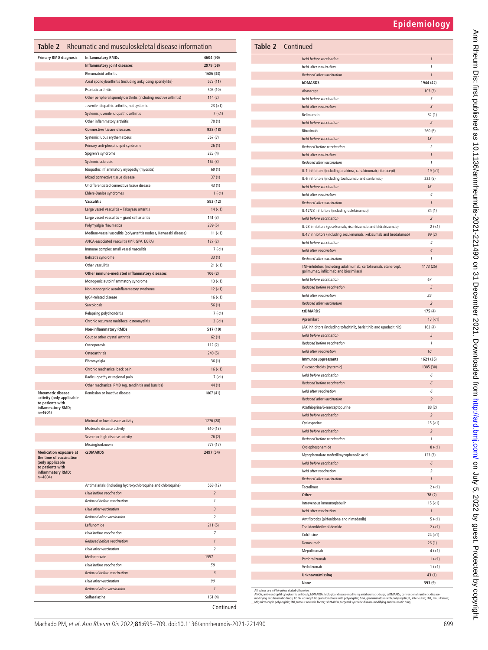|                      | 4604 (90)                  | <b>Held before vaccination</b>                                                                            |
|----------------------|----------------------------|-----------------------------------------------------------------------------------------------------------|
|                      | 2979 (58)                  | Held after vaccination                                                                                    |
|                      | 1686 (33)                  | Reduced after vaccination                                                                                 |
|                      | 573 (11)                   | <b>bDMARDS</b>                                                                                            |
|                      | 505 (10)                   | Abatacept                                                                                                 |
| eactive arthritis)   | 114(2)                     | Held before vaccination                                                                                   |
|                      | $23 (=1)$                  | <b>Held after vaccination</b>                                                                             |
|                      | $7 (-1)$<br>70(1)          | Belimumab                                                                                                 |
|                      | 928 (18)                   | <b>Held before vaccination</b>                                                                            |
|                      | 367(7)                     | Rituximab                                                                                                 |
|                      | 26(1)                      | <b>Held before vaccination</b><br>Reduced before vaccination                                              |
|                      | 223(4)                     | Held after vaccination                                                                                    |
|                      | 162(3)                     | Reduced after vaccination                                                                                 |
|                      | 69(1)                      | IL-1 inhibitors (including anakinra, canakinumab, rilonacept)                                             |
|                      | 37(1)                      | IL-6 inhibitors (including tocilizumab and sarilumab)                                                     |
|                      | 43 (1)                     | Held before vaccination                                                                                   |
|                      | $1 (-1)$                   | <b>Held after vaccination</b>                                                                             |
|                      | 593 (12)                   | Reduced after vaccination                                                                                 |
|                      | $14 (-1)$                  | IL-12/23 inhibitors (including ustekinumab)                                                               |
|                      | 141(3)                     | <b>Held before vaccination</b>                                                                            |
|                      | 239 (5)                    | IL-23 inhibitors (guselkumab, risankizumab and tildrakizumab)                                             |
| ı, Kawasaki disease) | $11 (=1)$                  | IL-17 inhibitors (including secukinumab, ixekizumab and brodalumab)                                       |
|                      | 127(2)                     | Held before vaccination                                                                                   |
|                      | $7 (-1)$                   | <b>Held after vaccination</b>                                                                             |
|                      | 33(1)                      | Reduced after vaccination                                                                                 |
|                      | $21 (=1)$                  | TNF-inhibitors (including adalimumab, certolizumab, etanercept,<br>golimumab, infliximab and biosimilars) |
|                      | 106(2)                     | Held before vaccination                                                                                   |
|                      | $13 (=1)$<br>$12$ ( $<$ 1) | Reduced before vaccination                                                                                |
|                      | $16 (=1)$                  | Held after vaccination                                                                                    |
|                      | 56(1)                      | Reduced after vaccination                                                                                 |
|                      | $7 (-1)$                   | tsDMARDS                                                                                                  |
|                      | $2$ ( $<$ 1)               | Apremilast                                                                                                |
|                      | 517 (10)                   | JAK inhibitors (including tofacitinib, baricitinib and upadacitinib)                                      |
|                      | 62(1)                      | <b>Held before vaccination</b>                                                                            |
|                      | 112(2)                     | Reduced before vaccination                                                                                |
|                      | 240(5)                     | Held after vaccination                                                                                    |
|                      | 36(1)                      | Immunosuppressants                                                                                        |
|                      | $16 (=1)$                  | Glucocorticoids (systemic)                                                                                |
|                      | $7(-1)$                    | Held before vaccination                                                                                   |
|                      | 44 (1)                     | Reduced before vaccination<br><b>Held after vaccination</b>                                               |
|                      | 1867 (41)                  |                                                                                                           |
|                      |                            | Reduced after vaccination<br>Azathioprine/6-mercaptopurine                                                |
|                      |                            | Held before vaccination                                                                                   |
|                      | 1276 (28)                  | Cyclosporine                                                                                              |
|                      | 610 (13)                   | Held before vaccination                                                                                   |
|                      | 76 (2)                     | Reduced before vaccination                                                                                |
|                      | 775 (17)                   | Cyclophosphamide                                                                                          |
|                      | 2497 (54)                  | Mycophenolate mofetil/mycophenolic acid                                                                   |
|                      |                            | Held before vaccination                                                                                   |
|                      |                            | Held after vaccination                                                                                    |
|                      |                            | Reduced after vaccination                                                                                 |
| nd chloroquine)      | 568 (12)                   | Tacrolimus                                                                                                |
|                      | $\overline{z}$             | Other                                                                                                     |
|                      | $\it 1$                    | Intravenous immunoglobulin                                                                                |
|                      | 3                          | Held after vaccination                                                                                    |
|                      | $\overline{c}$             | Antifibrotics (pirfenidone and nintedanib)                                                                |
|                      | 211(5)<br>$\boldsymbol{7}$ | Thalidomide/lenalidomide                                                                                  |
|                      | $\mathbf{1}$               | Colchicine                                                                                                |
|                      | $\overline{\mathbf{z}}$    | Denosumab                                                                                                 |
|                      | 1557                       | Mepolizumab                                                                                               |
|                      | 58                         | Pembrolizumab<br>Vedolizumab                                                                              |
|                      |                            |                                                                                                           |
|                      | 3                          | Unknown/missing                                                                                           |

| Large vessel vasculitis - giant cell arteritis<br>Polymyalgia rheumatica<br>Medium-vessel vasculitis (polyarteritis nodosa, Kawasaki disease)<br>ANCA-associated vasculitis (MP, GPA, EGPA)<br>Immune complex small vessel vasculitis<br>Behcet's syndrome<br>Other vasculitis<br>Other immune-mediated inflammatory diseases | 141(3)<br>239(5)<br>$11 (=1)$<br>127(2)<br>$7 (-1)$<br>33(1) | <b>Held before vaccination</b><br>IL-23 inhibitors (quselkumab, risankizumab and tildrakizumab)<br>IL-17 inhibitors (including secukinumab, ixekizumab and brodalumab)<br>Held before vaccination | $\overline{c}$<br>$2$ ( $<$ 1)<br>99(2)                                                                                                                                                                                                   |
|-------------------------------------------------------------------------------------------------------------------------------------------------------------------------------------------------------------------------------------------------------------------------------------------------------------------------------|--------------------------------------------------------------|---------------------------------------------------------------------------------------------------------------------------------------------------------------------------------------------------|-------------------------------------------------------------------------------------------------------------------------------------------------------------------------------------------------------------------------------------------|
|                                                                                                                                                                                                                                                                                                                               |                                                              |                                                                                                                                                                                                   |                                                                                                                                                                                                                                           |
|                                                                                                                                                                                                                                                                                                                               |                                                              |                                                                                                                                                                                                   |                                                                                                                                                                                                                                           |
|                                                                                                                                                                                                                                                                                                                               |                                                              |                                                                                                                                                                                                   |                                                                                                                                                                                                                                           |
|                                                                                                                                                                                                                                                                                                                               |                                                              |                                                                                                                                                                                                   | $\overline{4}$                                                                                                                                                                                                                            |
|                                                                                                                                                                                                                                                                                                                               |                                                              | Held after vaccination                                                                                                                                                                            | $\sqrt{4}$                                                                                                                                                                                                                                |
|                                                                                                                                                                                                                                                                                                                               |                                                              | Reduced after vaccination                                                                                                                                                                         | $\mathbf{1}$                                                                                                                                                                                                                              |
|                                                                                                                                                                                                                                                                                                                               | $21 (=1)$                                                    | TNF-inhibitors (including adalimumab, certolizumab, etanercept,                                                                                                                                   | 1173 (25)                                                                                                                                                                                                                                 |
|                                                                                                                                                                                                                                                                                                                               | 106(2)                                                       | golimumab, infliximab and biosimilars)                                                                                                                                                            |                                                                                                                                                                                                                                           |
| Monogenic autoinflammatory syndrome                                                                                                                                                                                                                                                                                           | $13 (-1)$                                                    | Held before vaccination                                                                                                                                                                           | 67                                                                                                                                                                                                                                        |
| Non-monogenic autoinflammatory syndrome                                                                                                                                                                                                                                                                                       | $12 (-1)$                                                    | Reduced before vaccination                                                                                                                                                                        | $\sqrt{5}$                                                                                                                                                                                                                                |
| IgG4-related disease                                                                                                                                                                                                                                                                                                          | $16 (=1)$                                                    | Held after vaccination                                                                                                                                                                            | 29                                                                                                                                                                                                                                        |
| Sarcoidosis                                                                                                                                                                                                                                                                                                                   | 56(1)                                                        | Reduced after vaccination                                                                                                                                                                         | $\overline{2}$                                                                                                                                                                                                                            |
| Relapsing polychondritis                                                                                                                                                                                                                                                                                                      | $7 (-1)$                                                     | tsDMARDS                                                                                                                                                                                          | 175(4)                                                                                                                                                                                                                                    |
| Chronic recurrent multifocal osteomyelitis                                                                                                                                                                                                                                                                                    | $2 (-1)$                                                     | Apremilast                                                                                                                                                                                        | $13 (=1)$                                                                                                                                                                                                                                 |
| <b>Non-inflammatory RMDs</b>                                                                                                                                                                                                                                                                                                  | 517 (10)                                                     | JAK inhibitors (including tofacitinib, baricitinib and upadacitinib)                                                                                                                              | 162(4)                                                                                                                                                                                                                                    |
| Gout or other crystal arthritis                                                                                                                                                                                                                                                                                               | 62(1)                                                        | Held before vaccination                                                                                                                                                                           | $\sqrt{5}$                                                                                                                                                                                                                                |
| Osteoporosis                                                                                                                                                                                                                                                                                                                  | 112(2)                                                       | Reduced before vaccination                                                                                                                                                                        | $\mathbf{1}$                                                                                                                                                                                                                              |
| Osteoarthritis                                                                                                                                                                                                                                                                                                                | 240(5)                                                       | Held after vaccination                                                                                                                                                                            | 10                                                                                                                                                                                                                                        |
| Fibromyalgia                                                                                                                                                                                                                                                                                                                  | 36(1)                                                        | Immunosuppressants                                                                                                                                                                                | 1621 (35)                                                                                                                                                                                                                                 |
| Chronic mechanical back pain                                                                                                                                                                                                                                                                                                  | $16 (=1)$                                                    | Glucocorticoids (systemic)                                                                                                                                                                        | 1385 (30)                                                                                                                                                                                                                                 |
| Radiculopathy or regional pain                                                                                                                                                                                                                                                                                                | $7 (-1)$                                                     | Held before vaccination                                                                                                                                                                           | 6                                                                                                                                                                                                                                         |
| Other mechanical RMD (eg, tendinitis and bursitis)                                                                                                                                                                                                                                                                            | 44 (1)                                                       | Reduced before vaccination                                                                                                                                                                        | $\sqrt{6}$                                                                                                                                                                                                                                |
| Remission or inactive disease                                                                                                                                                                                                                                                                                                 | 1867 (41)                                                    | Held after vaccination                                                                                                                                                                            | 6                                                                                                                                                                                                                                         |
|                                                                                                                                                                                                                                                                                                                               |                                                              | Reduced after vaccination                                                                                                                                                                         | $\mathfrak{g}$                                                                                                                                                                                                                            |
|                                                                                                                                                                                                                                                                                                                               |                                                              | Azathioprine/6-mercaptopurine                                                                                                                                                                     | 88(2)                                                                                                                                                                                                                                     |
|                                                                                                                                                                                                                                                                                                                               |                                                              | Held before vaccination                                                                                                                                                                           | $\overline{2}$                                                                                                                                                                                                                            |
| Minimal or low disease activity                                                                                                                                                                                                                                                                                               | 1276 (28)                                                    | Cyclosporine                                                                                                                                                                                      | $15 (=1)$                                                                                                                                                                                                                                 |
| Moderate disease activity                                                                                                                                                                                                                                                                                                     | 610 (13)                                                     | <b>Held before vaccination</b>                                                                                                                                                                    | $\overline{2}$                                                                                                                                                                                                                            |
| Severe or high disease activity                                                                                                                                                                                                                                                                                               | 76 (2)                                                       | Reduced before vaccination                                                                                                                                                                        | $\mathbf{1}$                                                                                                                                                                                                                              |
| Missing/unknown                                                                                                                                                                                                                                                                                                               | 775 (17)                                                     | Cyclophosphamide                                                                                                                                                                                  | $8 (-1)$                                                                                                                                                                                                                                  |
| <b>csDMARDS</b>                                                                                                                                                                                                                                                                                                               | 2497 (54)                                                    | Mycophenolate mofetil/mycophenolic acid                                                                                                                                                           | 123(3)                                                                                                                                                                                                                                    |
|                                                                                                                                                                                                                                                                                                                               |                                                              | <b>Held before vaccination</b>                                                                                                                                                                    | $\sqrt{6}$                                                                                                                                                                                                                                |
|                                                                                                                                                                                                                                                                                                                               |                                                              | Held after vaccination                                                                                                                                                                            | $\overline{2}$                                                                                                                                                                                                                            |
|                                                                                                                                                                                                                                                                                                                               |                                                              | Reduced after vaccination                                                                                                                                                                         | $\mathbf{1}$                                                                                                                                                                                                                              |
| Antimalarials (including hydroxychloroquine and chloroquine)                                                                                                                                                                                                                                                                  | 568 (12)                                                     | Tacrolimus                                                                                                                                                                                        | $2 (-1)$                                                                                                                                                                                                                                  |
| Held before vaccination                                                                                                                                                                                                                                                                                                       | $\sqrt{2}$                                                   | Other                                                                                                                                                                                             | 78(2)                                                                                                                                                                                                                                     |
| Reduced before vaccination                                                                                                                                                                                                                                                                                                    | $\mathbf{1}$                                                 | Intravenous immunoglobulin                                                                                                                                                                        | $15 (=1)$                                                                                                                                                                                                                                 |
| <b>Held after vaccination</b>                                                                                                                                                                                                                                                                                                 | $\overline{3}$                                               | Held after vaccination                                                                                                                                                                            | $\mathbf{1}$                                                                                                                                                                                                                              |
| Reduced after vaccination                                                                                                                                                                                                                                                                                                     | $\overline{2}$                                               | Antifibrotics (pirfenidone and nintedanib)                                                                                                                                                        | $5(-1)$                                                                                                                                                                                                                                   |
| Leflunomide                                                                                                                                                                                                                                                                                                                   | 211(5)                                                       | Thalidomide/lenalidomide                                                                                                                                                                          | $2$ ( $<$ 1)                                                                                                                                                                                                                              |
| Held before vaccination                                                                                                                                                                                                                                                                                                       | $\overline{7}$                                               | Colchicine                                                                                                                                                                                        | $24 (-1)$                                                                                                                                                                                                                                 |
| Reduced before vaccination                                                                                                                                                                                                                                                                                                    | $\mathbf{1}$                                                 | Denosumab                                                                                                                                                                                         | 26(1)                                                                                                                                                                                                                                     |
| Held after vaccination                                                                                                                                                                                                                                                                                                        | $\overline{2}$                                               | Mepolizumab                                                                                                                                                                                       | $4 (-1)$                                                                                                                                                                                                                                  |
| Methotrexate                                                                                                                                                                                                                                                                                                                  | 1557                                                         | Pembrolizumab                                                                                                                                                                                     | $1$ (<1)                                                                                                                                                                                                                                  |
| Held before vaccination                                                                                                                                                                                                                                                                                                       | 58                                                           | Vedolizumab                                                                                                                                                                                       | $1 (-1)$                                                                                                                                                                                                                                  |
| Reduced before vaccination                                                                                                                                                                                                                                                                                                    | $\overline{3}$                                               | <b>Unknown/missing</b>                                                                                                                                                                            | 43(1)                                                                                                                                                                                                                                     |
| Held after vaccination                                                                                                                                                                                                                                                                                                        | 90                                                           | None                                                                                                                                                                                              | 393 (9)                                                                                                                                                                                                                                   |
| Reduced after vaccination                                                                                                                                                                                                                                                                                                     | $\mathbf{1}$                                                 | All values are n (%) unless stated otherwise                                                                                                                                                      |                                                                                                                                                                                                                                           |
| Sulfasalazine                                                                                                                                                                                                                                                                                                                 | 161(4)                                                       | modifying antirheumatic drugs; EGPA, eosinophilic granulomatosis with polyangiitis; GPA, granulomatosis with polyangiitis; IL, interleukin; JAK, Janus kinase;                                    |                                                                                                                                                                                                                                           |
|                                                                                                                                                                                                                                                                                                                               | Continued                                                    | MP, microscopic polyangiitis; TNF, tumour necrosis factor; tsDMARDs, targeted synthetic disease-modifying antirheumatic drug.                                                                     |                                                                                                                                                                                                                                           |
|                                                                                                                                                                                                                                                                                                                               |                                                              |                                                                                                                                                                                                   | ANCA, anti-neutrophil cytoplasmic antibody; bDMARDs, biological disease-modifying antirheumatic drugs; csDMARDs, conventional synthetic disease-<br>Machado PM. et al. Ann Rheum Dis 2022:81:695-709. doi:10.1136/annrheumdis-2021-221490 |

<span id="page-4-0"></span>Table 2 Rheumatic and musculoskeletal

Psoriatic arthritis

**Inflammatory joint diseases** Rheumatoid arthritis

Axial spondyloarthritis (including ankylosing s

Other peripheral spondyloarthritis (including reaction) Juvenile idiopathic arthritis, not systemic Systemic juvenile idiopathic arthritis Other inflammatory arthritis **Connective tissue diseases 928** (**18**) Systemic lupus erythematosus Primary anti-phospholipid syndrome Sjogren's syndrome Systemic sclerosis

Idiopathic inflammatory myopathy (myositis) Mixed connective tissue disease Undifferentiated connective tissue disease Ehlers-Danlos syndromes **Vasculitis 593** (**12**)

**Primary RMD diagnosis and Inflammatory RMDs**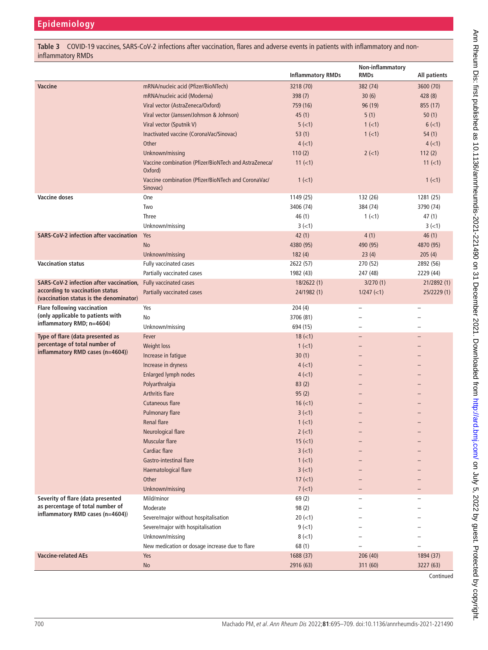<span id="page-5-0"></span>**Table 3** COVID-19 vaccines, SARS-CoV-2 infections after vaccination, flares and adverse events in patients with inflammatory and noninflammatory RMDs

|                                                                                                      |                                                                  | <b>Inflammatory RMDs</b> | Non-inflammatory<br><b>RMDs</b> | All patients |
|------------------------------------------------------------------------------------------------------|------------------------------------------------------------------|--------------------------|---------------------------------|--------------|
|                                                                                                      |                                                                  |                          |                                 |              |
| <b>Vaccine</b>                                                                                       | mRNA/nucleic acid (Pfizer/BioNTech)                              | 3218 (70)                | 382 (74)                        | 3600 (70)    |
|                                                                                                      | mRNA/nucleic acid (Moderna)                                      | 398(7)                   | 30(6)                           | 428(8)       |
|                                                                                                      | Viral vector (AstraZeneca/Oxford)                                | 759 (16)                 | 96 (19)                         | 855 (17)     |
|                                                                                                      | Viral vector (Janssen/Johnson & Johnson)                         | 45(1)                    | 5(1)                            | 50(1)        |
|                                                                                                      | Viral vector (Sputnik V)                                         | 5(1)                     | 1 (< 1)                         | $6$ ( $<$ 1) |
|                                                                                                      | Inactivated vaccine (CoronaVac/Sinovac)                          | 53(1)                    | $1$ (<1)                        | 54(1)        |
|                                                                                                      | Other                                                            | $4$ ( $<$ 1)             |                                 | 4(1)         |
|                                                                                                      | Unknown/missing                                                  | 110(2)                   | $2 (-1)$                        | 112(2)       |
|                                                                                                      | Vaccine combination (Pfizer/BioNTech and AstraZeneca/<br>Oxford) | $11 (=1)$                |                                 | $11 (=1)$    |
|                                                                                                      | Vaccine combination (Pfizer/BioNTech and CoronaVac/<br>Sinovac)  | $1$ (<1)                 |                                 | $1$ (<1)     |
| <b>Vaccine doses</b>                                                                                 | One                                                              | 1149 (25)                | 132 (26)                        | 1281 (25)    |
|                                                                                                      | Two                                                              | 3406 (74)                | 384 (74)                        | 3790 (74)    |
|                                                                                                      | Three                                                            | 46 (1)                   | $1(-1)$                         | 47(1)        |
|                                                                                                      | Unknown/missing                                                  | $3(-1)$                  |                                 | $3(-1)$      |
| <b>SARS-CoV-2 infection after vaccination</b>                                                        | Yes                                                              | 42(1)                    | 4(1)                            | 46(1)        |
|                                                                                                      | <b>No</b>                                                        | 4380 (95)                | 490 (95)                        | 4870 (95)    |
|                                                                                                      | Unknown/missing                                                  | 182(4)                   | 23(4)                           | 205(4)       |
| <b>Vaccination status</b>                                                                            | Fully vaccinated cases                                           | 2622 (57)                | 270 (52)                        | 2892 (56)    |
|                                                                                                      | Partially vaccinated cases                                       | 1982 (43)                | 247 (48)                        | 2229 (44)    |
| SARS-CoV-2 infection after vaccination,                                                              | Fully vaccinated cases                                           | 18/2622(1)               | 3/270(1)                        | 21/2892 (1)  |
| according to vaccination status                                                                      | Partially vaccinated cases                                       | 24/1982 (1)              | $1/247$ (<1)                    | 25/2229 (1)  |
| (vaccination status is the denominator)                                                              |                                                                  |                          |                                 |              |
| <b>Flare following vaccination</b><br>(only applicable to patients with<br>inflammatory RMD; n=4604) | Yes                                                              | 204(4)                   | -                               |              |
|                                                                                                      | No                                                               | 3706 (81)                |                                 |              |
|                                                                                                      | Unknown/missing                                                  | 694 (15)                 |                                 |              |
| Type of flare (data presented as                                                                     | Fever                                                            | $18 (=1)$                |                                 |              |
| percentage of total number of                                                                        | Weight loss                                                      | $1$ (<1)                 |                                 |              |
| inflammatory RMD cases (n=4604))                                                                     | Increase in fatigue                                              | 30(1)                    |                                 |              |
|                                                                                                      | Increase in dryness                                              | $4$ (<1)                 |                                 |              |
|                                                                                                      | Enlarged lymph nodes                                             | $4$ (<1)                 |                                 |              |
|                                                                                                      | Polyarthralgia                                                   | 83(2)                    |                                 |              |
|                                                                                                      | <b>Arthritis flare</b>                                           | 95(2)                    |                                 |              |
|                                                                                                      | <b>Cutaneous flare</b>                                           | $16 (=1)$                |                                 |              |
|                                                                                                      | <b>Pulmonary flare</b>                                           | $3(-1)$                  |                                 |              |
|                                                                                                      | <b>Renal flare</b>                                               | $1$ (<1)                 |                                 |              |
|                                                                                                      | Neurological flare                                               | $2$ ( $<$ 1)             |                                 |              |
|                                                                                                      | <b>Muscular flare</b>                                            | $15 (=1)$                |                                 |              |
|                                                                                                      | Cardiac flare                                                    | $3 (-1)$                 |                                 |              |
|                                                                                                      | Gastro-intestinal flare                                          | $1$ (<1)                 |                                 |              |
|                                                                                                      | Haematological flare                                             | $3 (-1)$                 |                                 |              |
|                                                                                                      | Other                                                            | $17 (-1)$                |                                 |              |
|                                                                                                      | Unknown/missing                                                  | 7 (< 1)                  |                                 |              |
| Severity of flare (data presented                                                                    | Mild/minor                                                       | 69(2)                    |                                 |              |
| as percentage of total number of                                                                     | Moderate                                                         | 98 (2)                   |                                 |              |
| inflammatory RMD cases (n=4604))                                                                     |                                                                  |                          |                                 |              |
|                                                                                                      | Severe/major without hospitalisation                             | $20 (=1)$                |                                 |              |
|                                                                                                      | Severe/major with hospitalisation                                | $9(-1)$                  |                                 |              |
|                                                                                                      | Unknown/missing                                                  | $8(-1)$                  |                                 |              |
|                                                                                                      | New medication or dosage increase due to flare                   | 68 (1)                   |                                 |              |
| <b>Vaccine-related AEs</b>                                                                           | Yes                                                              | 1688 (37)                | 206 (40)                        | 1894 (37)    |
|                                                                                                      | <b>No</b>                                                        | 2916 (63)                | 311 (60)                        | 3227 (63)    |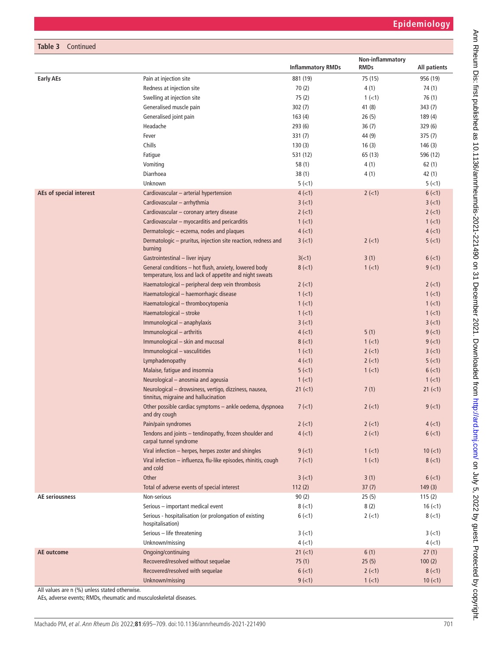| Table 3 Continued       |                                                                                                                  |                          |                  |               |
|-------------------------|------------------------------------------------------------------------------------------------------------------|--------------------------|------------------|---------------|
|                         |                                                                                                                  |                          | Non-inflammatory |               |
|                         |                                                                                                                  | <b>Inflammatory RMDs</b> | <b>RMDs</b>      | All patients  |
| <b>Early AEs</b>        | Pain at injection site<br>Redness at injection site                                                              | 881 (19)<br>70(2)        | 75 (15)<br>4(1)  | 956 (19)      |
|                         |                                                                                                                  |                          |                  | 74 (1)        |
|                         | Swelling at injection site                                                                                       | 75(2)                    | $1(-1)$          | 76 (1)        |
|                         | Generalised muscle pain                                                                                          | 302(7)                   | 41 (8)           | 343(7)        |
|                         | Generalised joint pain                                                                                           | 163(4)                   | 26(5)            | 189 (4)       |
|                         | Headache                                                                                                         | 293(6)                   | 36(7)            | 329(6)        |
|                         | Fever                                                                                                            | 331(7)                   | 44 (9)           | 375(7)        |
|                         | Chills                                                                                                           | 130(3)                   | 16(3)            | 146(3)        |
|                         | Fatigue                                                                                                          | 531 (12)                 | 65 (13)          | 596 (12)      |
|                         | Vomiting                                                                                                         | 58(1)                    | 4(1)             | 62(1)         |
|                         | Diarrhoea                                                                                                        | 38(1)                    | 4(1)             | 42 (1)        |
|                         | Unknown                                                                                                          | 5(1)                     |                  | 5(1)          |
| AEs of special interest | Cardiovascular - arterial hypertension                                                                           | $4$ (<1)                 | $2$ ( $<$ 1)     | $6$ ( $<$ 1)  |
|                         | Cardiovascular - arrhythmia                                                                                      | $3 (-1)$                 |                  | $3(-1)$       |
|                         | Cardiovascular - coronary artery disease                                                                         | $2$ ( $<$ 1)             |                  | $2$ ( $<$ 1)  |
|                         | Cardiovascular - myocarditis and pericarditis                                                                    | $1$ (<1)                 |                  | $1$ (<1)      |
|                         | Dermatologic - eczema, nodes and plaques                                                                         | $4$ (<1)                 |                  | 4(1)          |
|                         | Dermatologic - pruritus, injection site reaction, redness and<br>burning                                         | $3 (-1)$                 | $2$ ( $<$ 1)     | 5(<1)         |
|                         | Gastrointestinal - liver injury                                                                                  | 3(<1)                    | 3(1)             | 6(<1)         |
|                         | General conditions - hot flush, anxiety, lowered body<br>temperature, loss and lack of appetite and night sweats | $8$ (<1)                 | 1 (< 1)          | $9(-1)$       |
|                         | Haematological - peripheral deep vein thrombosis                                                                 | $2$ ( $<$ 1)             |                  | $2(-1)$       |
|                         | Haematological - haemorrhagic disease                                                                            | $1$ (<1)                 |                  | $1$ (<1)      |
|                         | Haematological - thrombocytopenia                                                                                | $1$ ( $<$ 1)             |                  | $1$ (<1)      |
|                         | Haematological - stroke                                                                                          | $1$ ( $<$ 1)             |                  | $1$ (<1)      |
|                         | Immunological - anaphylaxis                                                                                      | $3(-1)$                  |                  | $3(-1)$       |
|                         | Immunological - arthritis                                                                                        | $4$ ( $<$ 1)             | 5(1)             | $9(-1)$       |
|                         | Immunological - skin and mucosal                                                                                 | $8$ ( $<$ 1)             | $1$ (<1)         | $9(-1)$       |
|                         | Immunological - vasculitides                                                                                     | $1$ ( $<$ 1)             | $2$ ( $<$ 1)     | $3(-1)$       |
|                         | Lymphadenopathy                                                                                                  | $4$ ( $<$ 1)             | $2$ ( $<$ 1)     | 5(<1)         |
|                         | Malaise, fatigue and insomnia                                                                                    | 5(<1)                    | $1$ (<1)         | $6$ ( $<$ 1)  |
|                         | Neurological - anosmia and ageusia                                                                               | $1$ (<1)                 |                  | $1(-1)$       |
|                         | Neurological - drowsiness, vertigo, dizziness, nausea,<br>tinnitus, migraine and hallucination                   | $21 (=1)$                | 7(1)             | $21 (=1)$     |
|                         | Other possible cardiac symptoms - ankle oedema, dyspnoea<br>and dry cough                                        | 7(1)                     | $2 (-1)$         | $9(-1)$       |
|                         | Pain/pain syndromes                                                                                              | $2$ ( $<$ 1)             | $2$ ( $<$ 1)     | $4$ (<1)      |
|                         | Tendons and joints - tendinopathy, frozen shoulder and<br>carpal tunnel syndrome                                 | $4$ (<1)                 | $2$ ( $<$ 1)     | $6$ ( $<$ 1)  |
|                         | Viral infection - herpes, herpes zoster and shingles                                                             | $9$ ( $<$ 1)             | 1 (< 1)          | $10 (=1)$     |
|                         | Viral infection - influenza, flu-like episodes, rhinitis, cough<br>and cold                                      | 7 (< 1)                  | $1$ (<1)         | $8 (-1)$      |
|                         | Other                                                                                                            | $3 (-1)$                 | 3(1)             | $6$ ( $<$ 1)  |
|                         | Total of adverse events of special interest                                                                      | 112(2)                   | 37(7)            | 149(3)        |
| <b>AE</b> seriousness   | Non-serious                                                                                                      | 90(2)                    | 25(5)            | 115(2)        |
|                         | Serious - important medical event                                                                                | $8 (-1)$                 | 8(2)             | $16$ ( $<$ 1) |
|                         | Serious - hospitalisation (or prolongation of existing<br>hospitalisation)                                       | $6$ ( $<$ 1)             | $2(-1)$          | $8(-1)$       |
|                         | Serious - life threatening                                                                                       | $3(-1)$                  |                  | $3(-1)$       |
|                         | Unknown/missing                                                                                                  | $4$ ( $<$ 1)             |                  | $4(-1)$       |
| AE outcome              | Ongoing/continuing                                                                                               | $21 (=1)$                | 6(1)             | 27(1)         |
|                         | Recovered/resolved without sequelae                                                                              | 75(1)                    | 25(5)            | 100(2)        |
|                         | Recovered/resolved with sequelae                                                                                 | $6$ ( $<$ 1)             | $2(-1)$          | $8 (-1)$      |
|                         | Unknown/missing                                                                                                  | $9(-1)$                  | $1$ (<1)         | $10 (=1)$     |
|                         |                                                                                                                  |                          |                  |               |

All values are n (%) unless stated otherwise.

AEs, adverse events; RMDs, rheumatic and musculoskeletal diseases.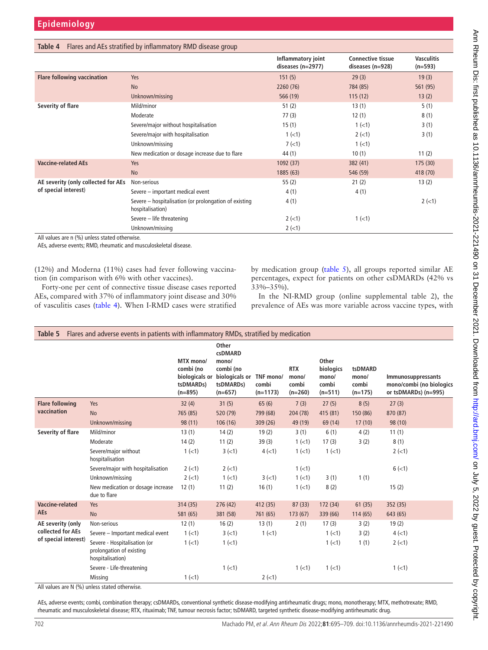<span id="page-7-0"></span>

|                                     |                                                                           | Inflammatory joint<br>diseases (n=2977) | <b>Connective tissue</b><br>diseases (n=928) | <b>Vasculitis</b><br>$(n=593)$ |
|-------------------------------------|---------------------------------------------------------------------------|-----------------------------------------|----------------------------------------------|--------------------------------|
| <b>Flare following vaccination</b>  | Yes                                                                       | 151(5)                                  | 29(3)                                        | 19(3)                          |
|                                     | <b>No</b>                                                                 | 2260 (76)                               | 784 (85)                                     | 561 (95)                       |
|                                     | Unknown/missing                                                           | 566 (19)                                | 115(12)                                      | 13(2)                          |
| Severity of flare                   | Mild/minor                                                                | 51(2)                                   | 13(1)                                        | 5(1)                           |
|                                     | Moderate                                                                  | 77(3)                                   | 12(1)                                        | 8(1)                           |
|                                     | Severe/major without hospitalisation                                      | 15(1)                                   | $1(-1)$                                      | 3(1)                           |
|                                     | Severe/major with hospitalisation                                         | $1$ ( $<$ 1)                            | $2 (-1)$                                     | 3(1)                           |
|                                     | Unknown/missing                                                           | 7(1)                                    | $1(-1)$                                      |                                |
|                                     | New medication or dosage increase due to flare                            | 44 (1)                                  | 10(1)                                        | 11(2)                          |
| <b>Vaccine-related AEs</b>          | Yes                                                                       | 1092(37)                                | 382(41)                                      | 175(30)                        |
|                                     | <b>No</b>                                                                 | 1885 (63)                               | 546 (59)                                     | 418 (70)                       |
| AE severity (only collected for AEs | Non-serious                                                               | 55(2)                                   | 21(2)                                        | 13(2)                          |
| of special interest)                | Severe - important medical event                                          | 4(1)                                    | 4(1)                                         |                                |
|                                     | Severe – hospitalisation (or prolongation of existing<br>hospitalisation) | 4(1)                                    |                                              | $2$ ( $<$ 1)                   |
|                                     | Severe - life threatening                                                 | $2 (-1)$                                | $1(-1)$                                      |                                |
|                                     | Unknown/missing                                                           | $2$ ( $<$ 1)                            |                                              |                                |

All values are n (%) unless stated otherwise.

AEs, adverse events; RMD, rheumatic and musculoskeletal disease.

(12%) and Moderna (11%) cases had fever following vaccination (in comparison with 6% with other vaccines).

Forty-one per cent of connective tissue disease cases reported AEs, compared with 37% of inflammatory joint disease and 30% of vasculitis cases ([table](#page-7-0) 4). When I-RMD cases were stratified

by medication group ([table](#page-7-1) 5), all groups reported similar AE percentages, expect for patients on other csDMARDs (42% vs  $33\% - 35\%$ ).

In the NI-RMD group ([online supplemental table 2\)](https://dx.doi.org/10.1136/annrheumdis-2021-221490), the prevalence of AEs was more variable across vaccine types, with

<span id="page-7-1"></span>

| Table 5                                   | Flares and adverse events in patients with inflammatory RMDs, stratified by medication |                                                  |                                                                                                   |                                  |                                           |                                                   |                                        |                                                                        |
|-------------------------------------------|----------------------------------------------------------------------------------------|--------------------------------------------------|---------------------------------------------------------------------------------------------------|----------------------------------|-------------------------------------------|---------------------------------------------------|----------------------------------------|------------------------------------------------------------------------|
|                                           |                                                                                        | MTX mono/<br>combi (no<br>tsDMARDs)<br>$(n=895)$ | Other<br>csDMARD<br>mono/<br>combi (no<br>biologicals or biologicals or<br>tsDMARDs)<br>$(n=657)$ | TNF mono/<br>combi<br>$(n=1173)$ | <b>RTX</b><br>mono/<br>combi<br>$(n=260)$ | Other<br>biologics<br>mono/<br>combi<br>$(n=511)$ | tsDMARD<br>mono/<br>combi<br>$(n=175)$ | Immunosuppressants<br>mono/combi (no biologics<br>or tsDMARDs) (n=995) |
| <b>Flare following</b>                    | Yes                                                                                    | 32(4)                                            | 31(5)                                                                                             | 65(6)                            | 7(3)                                      | 27(5)                                             | 8(5)                                   | 27(3)                                                                  |
| vaccination                               | <b>No</b>                                                                              | 765 (85)                                         | 520 (79)                                                                                          | 799 (68)                         | 204 (78)                                  | 415 (81)                                          | 150 (86)                               | 870 (87)                                                               |
|                                           | Unknown/missing                                                                        | 98 (11)                                          | 106(16)                                                                                           | 309 (26)                         | 49 (19)                                   | 69 (14)                                           | 17(10)                                 | 98 (10)                                                                |
| Severity of flare                         | Mild/minor                                                                             | 13(1)                                            | 14(2)                                                                                             | 19(2)                            | 3(1)                                      | 6(1)                                              | 4(2)                                   | 11(1)                                                                  |
|                                           | Moderate                                                                               | 14(2)                                            | 11(2)                                                                                             | 39(3)                            | $1$ ( $<$ 1)                              | 17(3)                                             | 3(2)                                   | 8(1)                                                                   |
|                                           | Severe/major without<br>hospitalisation                                                | $1(-1)$                                          | $3(-1)$                                                                                           | $4(-1)$                          | $1(-1)$                                   | $1 (-1)$                                          |                                        | $2 (-1)$                                                               |
|                                           | Severe/major with hospitalisation                                                      | $2 (-1)$                                         | $2 (-1)$                                                                                          |                                  | $1(-1)$                                   |                                                   |                                        | $6$ ( $<$ 1)                                                           |
|                                           | Unknown/missing                                                                        | $2 (-1)$                                         | $1$ (<1)                                                                                          | $3(-1)$                          | $1(-1)$                                   | 3(1)                                              | 1(1)                                   |                                                                        |
|                                           | New medication or dosage increase<br>due to flare                                      | 12(1)                                            | 11(2)                                                                                             | 16(1)                            | 1 (< 1)                                   | 8(2)                                              |                                        | 15(2)                                                                  |
| Vaccine-related                           | Yes                                                                                    | 314(35)                                          | 276(42)                                                                                           | 412 (35)                         | 87(33)                                    | 172 (34)                                          | 61(35)                                 | 352 (35)                                                               |
| <b>AEs</b>                                | <b>No</b>                                                                              | 581 (65)                                         | 381 (58)                                                                                          | 761 (65)                         | 173 (67)                                  | 339 (66)                                          | 114(65)                                | 643 (65)                                                               |
| AE severity (only                         | Non-serious                                                                            | 12(1)                                            | 16(2)                                                                                             | 13(1)                            | 2(1)                                      | 17(3)                                             | 3(2)                                   | 19(2)                                                                  |
| collected for AEs<br>of special interest) | Severe - Important medical event                                                       | 1 (< 1)                                          | $3(-1)$                                                                                           | $1$ ( $<$ 1)                     |                                           | 1 (< 1)                                           | 3(2)                                   | 4(1)                                                                   |
|                                           | Severe - Hospitalisation (or<br>prolongation of existing<br>hospitalisation)           | 1 (< 1)                                          | $1(-1)$                                                                                           |                                  |                                           | $1(-1)$                                           | 1(1)                                   | $2 (-1)$                                                               |
|                                           | Severe - Life-threatening                                                              |                                                  | $1(-1)$                                                                                           |                                  | $1(-1)$                                   | $1 (-1)$                                          |                                        | $1(-1)$                                                                |
|                                           | Missing                                                                                | 1 (< 1)                                          |                                                                                                   | $2$ ( $<$ 1)                     |                                           |                                                   |                                        |                                                                        |
| .<br>1.1011                               |                                                                                        |                                                  |                                                                                                   |                                  |                                           |                                                   |                                        |                                                                        |

All values are N (%) unless stated otherwise.

AEs, adverse events; combi, combination therapy; csDMARDs, conventional synthetic disease-modifying antirheumatic drugs; mono, monotherapy; MTX, methotrexate; RMD, rheumatic and musculoskeletal disease; RTX, rituximab; TNF, tumour necrosis factor; tsDMARD, targeted synthetic disease-modifying antirheumatic drug.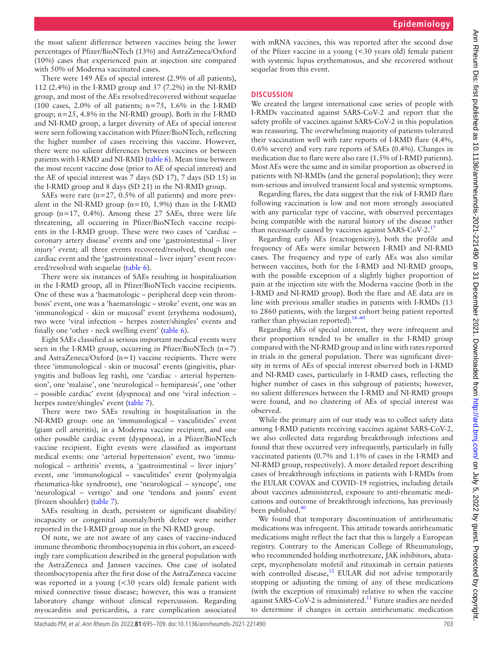the most salient difference between vaccines being the lower percentages of Pfizer/BioNTech (13%) and AstraZeneca/Oxford (10%) cases that experienced pain at injection site compared with 50% of Moderna vaccinated cases.

There were 149 AEs of special interest (2.9% of all patients), 112 (2.4%) in the I-RMD group and 37 (7.2%) in the NI-RMD group, and most of the AEs resolved/recovered without sequelae (100 cases, 2.0% of all patients;  $n=75$ , 1.6% in the I-RMD group; n=25, 4.8% in the NI-RMD group). Both in the I-RMD and NI-RMD group, a larger diversity of AEs of special interest were seen following vaccination with Pfizer/BioNTech, reflecting the higher number of cases receiving this vaccine. However, there were no salient differences between vaccines or between patients with I-RMD and NI-RMD [\(table](#page-9-0) 6). Mean time between the most recent vaccine dose (prior to AE of special interest) and the AE of special interest was 7 days (SD 17), 7 days (SD 15) in the I-RMD group and 8 days (SD 21) in the NI-RMD group.

SAEs were rare (n=27, 0.5% of all patients) and more prevalent in the NI-RMD group ( $n=10$ , 1.9%) than in the I-RMD group  $(n=17, 0.4\%)$ . Among these 27 SAEs, three were life threatening, all occurring in Pfizer/BioNTech vaccine recipients in the I-RMD group. These were two cases of 'cardiac – coronary artery disease' events and one 'gastrointestinal – liver injury' event; all three events recovered/resolved, though one cardiac event and the 'gastrointestinal – liver injury' event recovered/resolved with sequelae ([table](#page-9-0) 6).

There were six instances of SAEs resulting in hospitalisation in the I-RMD group, all in Pfizer/BioNTech vaccine recipients. One of these was a 'haematologic – peripheral deep vein thrombosis' event, one was a 'haematologic – stroke' event, one was an 'immunological - skin or mucosal' event (erythema nodosum), two were 'viral infection – herpes zoster/shingles' events and finally one 'other - neck swelling event' [\(table](#page-9-0) 6).

Eight SAEs classified as serious important medical events were seen in the I-RMD group, occurring in Pfizer/BioNTech  $(n=7)$ and AstraZeneca/Oxford (n=1) vaccine recipients. There were three 'immunological - skin or mucosal' events (gingivitis, pharyngitis and bullous leg rash), one 'cardiac - arterial hypertension', one 'malaise', one 'neurological – hemiparesis', one 'other – possible cardiac' event (dyspnoea) and one 'viral infection – herpes zoster/shingles' event ([table](#page-12-0) 7).

There were two SAEs resulting in hospitalisation in the NI-RMD group: one an 'immunological – vasculitides' event (giant cell arteritis), in a Moderna vaccine recipient, and one other possible cardiac event (dyspnoea), in a Pfizer/BioNTech vaccine recipient. Eight events were classified as important medical events: one 'arterial hypertension' event, two 'immunological – arthritis' events, a 'gastrointestinal – liver injury' event, one 'immunological – vasculitides' event (polymyalgia rheumatica-like syndrome), one 'neurological – syncope', one 'neurological – vertigo' and one 'tendons and joints' event (frozen shoulder) [\(table](#page-12-0) 7).

SAEs resulting in death, persistent or significant disability/ incapacity or congenital anomaly/birth defect were neither reported in the I-RMD group nor in the NI-RMD group.

Of note, we are not aware of any cases of vaccine-induced immune thrombotic thrombocytopenia in this cohort, an exceedingly rare complication described in the general population with the AstraZeneca and Janssen vaccines. One case of isolated thrombocytopenia after the first dose of the AstraZeneca vaccine was reported in a young (<30 years old) female patient with mixed connective tissue disease; however, this was a transient laboratory change without clinical repercussion. Regarding myocarditis and pericarditis, a rare complication associated

with mRNA vaccines, this was reported after the second dose of the Pfizer vaccine in a young (<30 years old) female patient with systemic lupus erythematosus, and she recovered without sequelae from this event.

## **DISCUSSION**

We created the largest international case series of people with I-RMDs vaccinated against SARS-CoV-2 and report that the safety profile of vaccines against SARS-CoV-2 in this population was reassuring. The overwhelming majority of patients tolerated their vaccination well with rare reports of I-RMD flare (4.4%, 0.6% severe) and very rare reports of SAEs (0.4%). Changes in medication due to flare were also rare (1.5% of I-RMD patients). Most AEs were the same and in similar proportion as observed in patients with NI-RMDs (and the general population); they were non-serious and involved transient local and systemic symptoms.

Regarding flares, the data suggest that the risk of I-RMD flare following vaccination is low and not more strongly associated with any particular type of vaccine, with observed percentages being compatible with the natural history of the disease rather than necessarily caused by vaccines against SARS-CoV-2.<sup>17</sup>

Regarding early AEs (reactogenicity), both the profile and frequency of AEs were similar between I-RMD and NI-RMD cases. The frequency and type of early AEs was also similar between vaccines, both for the I-RMD and NI-RMD groups, with the possible exception of a slightly higher proportion of pain at the injection site with the Moderna vaccine (both in the I-RMD and NI-RMD group). Both the flare and AE data are in line with previous smaller studies in patients with I-RMDs (13 to 2860 patients, with the largest cohort being patient reported rather than physician reported). $18-40$ 

Regarding AEs of special interest, they were infrequent and their proportion tended to be smaller in the I-RMD group compared with the NI-RMD group and in line with rates reported in trials in the general population. There was significant diversity in terms of AEs of special interest observed both in I-RMD and NI-RMD cases, particularly in I-RMD cases, reflecting the higher number of cases in this subgroup of patients; however, no salient differences between the I-RMD and NI-RMD groups were found, and no clustering of AEs of special interest was observed.

While the primary aim of our study was to collect safety data among I-RMD patients receiving vaccines against SARS-CoV-2, we also collected data regarding breakthrough infections and found that these occurred very infrequently, particularly in fully vaccinated patients (0.7% and 1.1% of cases in the I-RMD and NI-RMD group, respectively). A more detailed report describing cases of breakthrough infections in patients with I-RMDs from the EULAR COVAX and COVID-19 registries, including details about vaccines administered, exposure to anti-rheumatic medications and outcome of breakthrough infections, has previously been published.<sup>[40](#page-14-11)</sup>

We found that temporary discontinuation of antirheumatic medications was infrequent. This attitude towards antirheumatic medications might reflect the fact that this is largely a European registry. Contrary to the American College of Rheumatology, who recommended holding methotrexate, JAK inhibitors, abatacept, mycophenolate mofetil and rituximab in certain patients with controlled disease,<sup>12</sup> EULAR did not advise temporarily stopping or adjusting the timing of any of these medications (with the exception of rituximab) relative to when the vaccine against SARS-CoV-2 is administered.<sup>11</sup> Future studies are needed to determine if changes in certain antirheumatic medication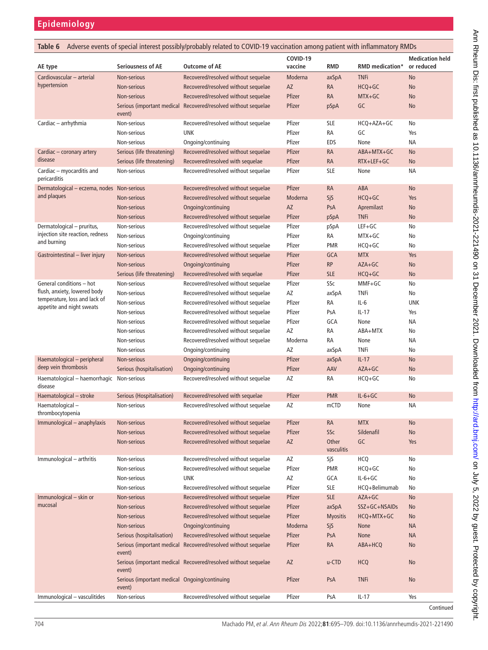<span id="page-9-0"></span>

| Adverse events of special interest possibly/probably related to COVID-19 vaccination among patient with inflammatory RMDs<br>Table 6 |                                                         |                                                                |                     |                     |                        |                                      |
|--------------------------------------------------------------------------------------------------------------------------------------|---------------------------------------------------------|----------------------------------------------------------------|---------------------|---------------------|------------------------|--------------------------------------|
| AE type                                                                                                                              | Seriousness of AE                                       | <b>Outcome of AE</b>                                           | COVID-19<br>vaccine | <b>RMD</b>          | <b>RMD</b> medication* | <b>Medication held</b><br>or reduced |
| Cardiovascular - arterial                                                                                                            | Non-serious                                             | Recovered/resolved without sequelae                            | Moderna             | axSpA               | <b>TNFi</b>            | No                                   |
| hypertension                                                                                                                         | Non-serious                                             | Recovered/resolved without sequelae                            | AZ                  | <b>RA</b>           | HCQ+GC                 | No                                   |
|                                                                                                                                      | Non-serious                                             | Recovered/resolved without sequelae                            | Pfizer              | <b>RA</b>           | MTX+GC                 | <b>No</b>                            |
|                                                                                                                                      | event)                                                  | Serious (important medical Recovered/resolved without sequelae | Pfizer              | pSpA                | GC                     | No                                   |
| Cardiac - arrhythmia                                                                                                                 | Non-serious                                             | Recovered/resolved without sequelae                            | Pfizer              | <b>SLE</b>          | HCQ+AZA+GC             | No                                   |
|                                                                                                                                      | Non-serious                                             | <b>UNK</b>                                                     | Pfizer              | RA                  | GC                     | Yes                                  |
|                                                                                                                                      | Non-serious                                             | Ongoing/continuing                                             | Pfizer              | EDS                 | None                   | <b>NA</b>                            |
| Cardiac – coronary artery                                                                                                            | Serious (life threatening)                              | Recovered/resolved without sequelae                            | Pfizer              | <b>RA</b>           | ABA+MTX+GC             | No                                   |
| disease                                                                                                                              | Serious (life threatening)                              | Recovered/resolved with sequelae                               | Pfizer              | <b>RA</b>           | RTX+LEF+GC             | No                                   |
| Cardiac - myocarditis and<br>pericarditis                                                                                            | Non-serious                                             | Recovered/resolved without sequelae                            | Pfizer              | <b>SLE</b>          | None                   | ΝA                                   |
| Dermatological – eczema, nodes Non-serious                                                                                           |                                                         | Recovered/resolved without sequelae                            | Pfizer              | <b>RA</b>           | ABA                    | No                                   |
| and plaques                                                                                                                          | Non-serious                                             | Recovered/resolved without sequelae                            | Moderna             | SjS                 | $HCQ+GC$               | Yes                                  |
|                                                                                                                                      | Non-serious                                             | Ongoing/continuing                                             | AZ                  | PsA                 | Apremilast             | No                                   |
|                                                                                                                                      | Non-serious                                             | Recovered/resolved without sequelae                            | Pfizer              | pSpA                | <b>TNFi</b>            | No                                   |
| Dermatological - pruritus,                                                                                                           | Non-serious                                             | Recovered/resolved without sequelae                            | Pfizer              | pSpA                | $LEF+GC$               | No                                   |
| injection site reaction, redness                                                                                                     | Non-serious                                             | Ongoing/continuing                                             | Pfizer              | RA                  | MTX+GC                 | No                                   |
| and burning                                                                                                                          | Non-serious                                             | Recovered/resolved without sequelae                            | Pfizer              | <b>PMR</b>          | HCQ+GC                 | No                                   |
| Gastrointestinal – liver injury                                                                                                      | Non-serious                                             | Recovered/resolved without sequelae                            | Pfizer              | <b>GCA</b>          | <b>MTX</b>             | Yes                                  |
|                                                                                                                                      | Non-serious                                             | Ongoing/continuing                                             | Pfizer              | <b>RP</b>           | $AZA+GC$               | No                                   |
|                                                                                                                                      | Serious (life threatening)                              | Recovered/resolved with sequelae                               | Pfizer              | <b>SLE</b>          | $HCQ+GC$               | No                                   |
| General conditions - hot                                                                                                             | Non-serious                                             | Recovered/resolved without sequelae                            | Pfizer              | SSc                 | MMF+GC                 | No                                   |
| flush, anxiety, lowered body                                                                                                         | Non-serious                                             | Recovered/resolved without sequelae                            | AZ                  | axSpA               | <b>TNFi</b>            | No                                   |
| temperature, loss and lack of<br>appetite and night sweats                                                                           | Non-serious                                             | Recovered/resolved without sequelae                            | Pfizer              | RA                  | IL-6                   | <b>UNK</b>                           |
|                                                                                                                                      | Non-serious                                             | Recovered/resolved without sequelae                            | Pfizer              | PsA                 | $IL-17$                | Yes                                  |
|                                                                                                                                      | Non-serious                                             | Recovered/resolved without sequelae                            | Pfizer              | GCA                 | None                   | ΝA                                   |
|                                                                                                                                      | Non-serious                                             | Recovered/resolved without sequelae                            | AZ                  | RA                  | ABA+MTX                | No                                   |
|                                                                                                                                      | Non-serious                                             | Recovered/resolved without sequelae                            | Moderna             | RA                  | None                   | ΝA                                   |
|                                                                                                                                      | Non-serious                                             | Ongoing/continuing                                             | AZ                  | axSpA               | TNFi                   | No                                   |
| Haematological - peripheral                                                                                                          | Non-serious                                             | Ongoing/continuing                                             | Pfizer              | axSpA               | $IL-17$                | No                                   |
| deep vein thrombosis                                                                                                                 | Serious (hospitalisation)                               | Ongoing/continuing                                             | Pfizer              | AAV                 | $AZA+GC$               | No                                   |
| Haematological - haemorrhagic Non-serious<br>disease                                                                                 |                                                         | Recovered/resolved without sequelae                            | AZ                  | RA                  | HCQ+GC                 | No                                   |
| Haematological - stroke                                                                                                              | Serious (Hospitalisation)                               | Recovered/resolved with sequelae                               | Pfizer              | <b>PMR</b>          | $IL-6+GC$              | No                                   |
| Haematological-<br>thrombocytopenia                                                                                                  | Non-serious                                             | Recovered/resolved without sequelae                            | AZ                  | mCTD                | None                   | ΝA                                   |
| Immunological - anaphylaxis                                                                                                          | Non-serious                                             | Recovered/resolved without sequelae                            | Pfizer              | <b>RA</b>           | <b>MTX</b>             | No                                   |
|                                                                                                                                      | Non-serious                                             | Recovered/resolved without sequelae                            | Pfizer              | SSc                 | Sildenafil             | No                                   |
|                                                                                                                                      | Non-serious                                             | Recovered/resolved without sequelae                            | AZ                  | Other<br>vasculitis | GC                     | Yes                                  |
| Immunological - arthritis                                                                                                            | Non-serious                                             | Recovered/resolved without sequelae                            | AZ                  | SjS                 | HCQ                    | No                                   |
|                                                                                                                                      | Non-serious                                             | Recovered/resolved without sequelae                            | Pfizer              | <b>PMR</b>          | HCQ+GC                 | No                                   |
|                                                                                                                                      | Non-serious                                             | <b>UNK</b>                                                     | AZ                  | GCA                 | $IL-6+GC$              | No                                   |
|                                                                                                                                      | Non-serious                                             | Recovered/resolved without sequelae                            | Pfizer              | <b>SLE</b>          | HCQ+Belimumab          | No                                   |
| Immunological - skin or                                                                                                              | Non-serious                                             | Recovered/resolved without sequelae                            | Pfizer              | <b>SLE</b>          | AZA+GC                 | No                                   |
| mucosal                                                                                                                              | Non-serious                                             | Recovered/resolved without sequelae                            | Pfizer              | axSpA               | SSZ+GC+NSAIDs          | No                                   |
|                                                                                                                                      | Non-serious                                             | Recovered/resolved without sequelae                            | Pfizer              | <b>Myositis</b>     | HCQ+MTX+GC             | No                                   |
|                                                                                                                                      | Non-serious                                             | Ongoing/continuing                                             | Moderna             | SjS                 | <b>None</b>            | <b>NA</b>                            |
|                                                                                                                                      | Serious (hospitalisation)                               | Recovered/resolved without sequelae                            | Pfizer              | PsA                 | None                   | <b>NA</b>                            |
|                                                                                                                                      | event)                                                  | Serious (important medical Recovered/resolved without sequelae | Pfizer              | <b>RA</b>           | ABA+HCQ                | No                                   |
|                                                                                                                                      | event)                                                  | Serious (important medical Recovered/resolved without sequelae | AZ                  | u-CTD               | <b>HCQ</b>             | No                                   |
|                                                                                                                                      | Serious (important medical Ongoing/continuing<br>event) |                                                                | Pfizer              | PsA                 | <b>TNFi</b>            | No                                   |
| Immunological - vasculitides                                                                                                         | Non-serious                                             | Recovered/resolved without sequelae                            | Pfizer              | PsA                 | $IL-17$                | Yes                                  |
|                                                                                                                                      |                                                         |                                                                |                     |                     |                        | Continued                            |

Ann Rheum Dis: first published as 10.1136/anntheumdis-2021-221490 on 31 December 2021. Downloaded from http://ard.bnin.com/ on July 5, 2022 by guest. Protected by copyright. Ann Dis: first published as 10.1136/annrheumdis-2021-221490 on 31 December 2021. Downloaded from <http://ard.bmj.com/> on July 5, 2022 by guest. Protected by copyright.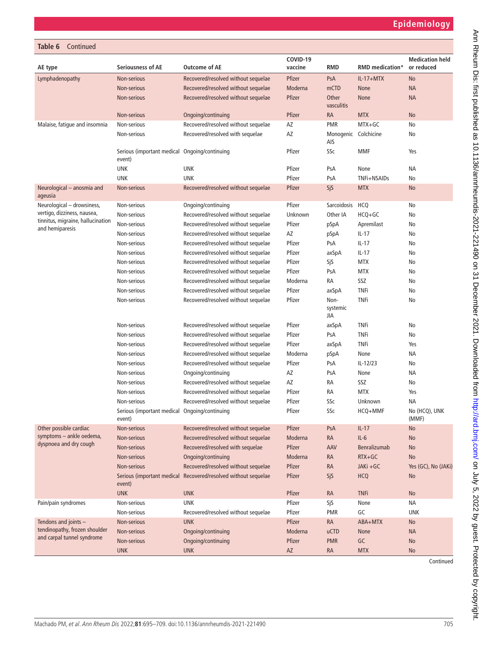| Table 6<br>Continued                                             |                                                         |                                     |                     |                             |                        |                                      |
|------------------------------------------------------------------|---------------------------------------------------------|-------------------------------------|---------------------|-----------------------------|------------------------|--------------------------------------|
| AE type                                                          | <b>Seriousness of AE</b>                                | <b>Outcome of AE</b>                | COVID-19<br>vaccine | <b>RMD</b>                  | <b>RMD</b> medication* | <b>Medication held</b><br>or reduced |
| Lymphadenopathy                                                  | Non-serious                                             | Recovered/resolved without sequelae | Pfizer              | PsA                         | $IL-17+MTX$            | No                                   |
|                                                                  | Non-serious                                             | Recovered/resolved without sequelae | Moderna             | mCTD                        | <b>None</b>            | <b>NA</b>                            |
|                                                                  | Non-serious                                             | Recovered/resolved without sequelae | Pfizer              | Other<br>vasculitis         | <b>None</b>            | <b>NA</b>                            |
|                                                                  | Non-serious                                             | Ongoing/continuing                  | Pfizer              | <b>RA</b>                   | <b>MTX</b>             | No                                   |
| Malaise, fatique and insomnia                                    | Non-serious                                             | Recovered/resolved without sequelae | AZ                  | <b>PMR</b>                  | MTX+GC                 | No                                   |
|                                                                  | Non-serious                                             | Recovered/resolved with sequelae    | AZ                  | Monogenic Colchicine<br>AIS |                        | No                                   |
|                                                                  | Serious (important medical<br>event)                    | Ongoing/continuing                  | Pfizer              | SSc                         | <b>MMF</b>             | Yes                                  |
|                                                                  | <b>UNK</b>                                              | <b>UNK</b>                          | Pfizer              | PsA                         | None                   | <b>NA</b>                            |
|                                                                  | <b>UNK</b>                                              | <b>UNK</b>                          | Pfizer              | PsA                         | TNFi+NSAIDs            | No                                   |
| Neurological - anosmia and<br>ageusia                            | Non-serious                                             | Recovered/resolved without sequelae | Pfizer              | SjS                         | <b>MTX</b>             | No                                   |
| Neurological - drowsiness,                                       | Non-serious                                             | Ongoing/continuing                  | Pfizer              | Sarcoidosis                 | <b>HCQ</b>             | No                                   |
| vertigo, dizziness, nausea,<br>tinnitus, migraine, hallucination | Non-serious                                             | Recovered/resolved without sequelae | Unknown             | Other IA                    | HCQ+GC                 | No                                   |
| and hemiparesis                                                  | Non-serious                                             | Recovered/resolved without sequelae | Pfizer              | pSpA                        | Apremilast             | No                                   |
|                                                                  | Non-serious                                             | Recovered/resolved without sequelae | AZ                  | pSpA                        | $IL-17$                | No                                   |
|                                                                  | Non-serious                                             | Recovered/resolved without sequelae | Pfizer              | PsA                         | $IL-17$                | No                                   |
|                                                                  | Non-serious                                             | Recovered/resolved without sequelae | Pfizer              | axSpA                       | $IL-17$                | No                                   |
|                                                                  | Non-serious                                             | Recovered/resolved without sequelae | Pfizer              | SjS                         | <b>MTX</b>             | No                                   |
|                                                                  | Non-serious                                             | Recovered/resolved without sequelae | Pfizer              | PsA                         | <b>MTX</b>             | No                                   |
|                                                                  | Non-serious                                             | Recovered/resolved without sequelae | Moderna             | RA                          | SSZ                    | No                                   |
|                                                                  | Non-serious                                             | Recovered/resolved without sequelae | Pfizer              | axSpA                       | <b>TNFi</b>            | No                                   |
|                                                                  | Non-serious                                             | Recovered/resolved without sequelae | Pfizer              | Non-<br>systemic<br>JIA     | <b>TNFi</b>            | No                                   |
|                                                                  | Non-serious                                             | Recovered/resolved without sequelae | Pfizer              | axSpA                       | <b>TNFi</b>            | No                                   |
|                                                                  | Non-serious                                             | Recovered/resolved without sequelae | Pfizer              | PsA                         | <b>TNFi</b>            | No                                   |
|                                                                  | Non-serious                                             | Recovered/resolved without sequelae | Pfizer              | axSpA                       | <b>TNFi</b>            | Yes                                  |
|                                                                  | Non-serious                                             | Recovered/resolved without sequelae | Moderna             | pSpA                        | None                   | ΝA                                   |
|                                                                  | Non-serious                                             | Recovered/resolved without sequelae | Pfizer              | PsA                         | $IL-12/23$             | No                                   |
|                                                                  | Non-serious                                             | Ongoing/continuing                  | AZ                  | PsA                         | None                   | ΝA                                   |
|                                                                  | Non-serious                                             | Recovered/resolved without sequelae | AZ                  | RA                          | SSZ                    | No                                   |
|                                                                  | Non-serious                                             | Recovered/resolved without sequelae | Pfizer              | RA                          | <b>MTX</b>             | Yes                                  |
|                                                                  | Non-serious                                             | Recovered/resolved without sequelae | Pfizer              | SSc                         | Unknown                | NA                                   |
|                                                                  | Serious (important medical Ongoing/continuing<br>event) |                                     | Pfizer              | SSc                         | HCQ+MMF                | No (HCQ), UNK<br>(MMF)               |
| Other possible cardiac                                           | Non-serious                                             | Recovered/resolved without sequelae | Pfizer              | PsA                         | $IL-17$                | No                                   |
| symptoms - ankle oedema,<br>dyspnoea and dry cough               | Non-serious                                             | Recovered/resolved without sequelae | Moderna             | <b>RA</b>                   | $IL-6$                 | No                                   |
|                                                                  | Non-serious                                             | Recovered/resolved with sequelae    | Pfizer              | AAV                         | Benralizumab           | No                                   |
|                                                                  | <b>Non-serious</b>                                      | Ongoing/continuing                  | Moderna             | <b>RA</b>                   | $RTX+GC$               | No                                   |
|                                                                  | Non-serious                                             | Recovered/resolved without sequelae | Pfizer              | <b>RA</b>                   | JAKi +GC               | Yes (GC), No (JAKi)                  |
|                                                                  | Serious (important medical<br>event)                    | Recovered/resolved without sequelae | Pfizer              | SjS                         | <b>HCQ</b>             | No                                   |
|                                                                  | <b>UNK</b>                                              | <b>UNK</b>                          | Pfizer              | <b>RA</b>                   | <b>TNFi</b>            | <b>No</b>                            |
| Pain/pain syndromes                                              | Non-serious                                             | <b>UNK</b>                          | Pfizer              | SjS                         | None                   | NA                                   |
|                                                                  | Non-serious                                             | Recovered/resolved without sequelae | Pfizer              | <b>PMR</b>                  | GC                     | <b>UNK</b>                           |
| Tendons and joints -                                             | Non-serious                                             | <b>UNK</b>                          | Pfizer              | <b>RA</b>                   | ABA+MTX                | No                                   |
| tendinopathy, frozen shoulder<br>and carpal tunnel syndrome      | Non-serious                                             | Ongoing/continuing                  | Moderna             | <b>uCTD</b>                 | None                   | <b>NA</b>                            |
|                                                                  | Non-serious                                             | Ongoing/continuing                  | Pfizer              | <b>PMR</b>                  | ${\sf GC}$             | No                                   |
|                                                                  | <b>UNK</b>                                              | <b>UNK</b>                          | AZ                  | <b>RA</b>                   | <b>MTX</b>             | No                                   |

Continued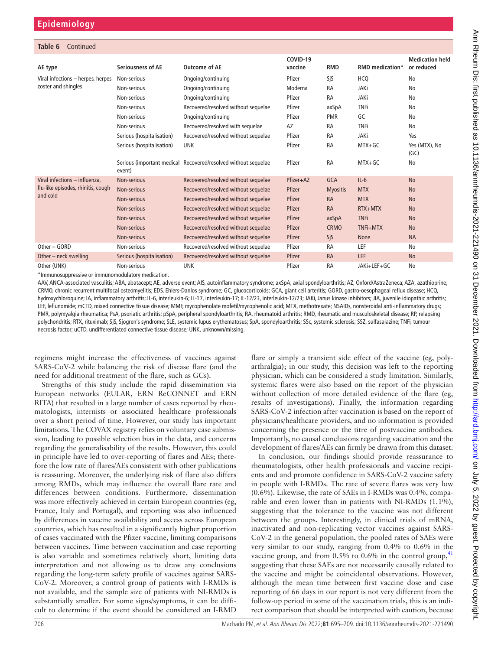#### **Table 6** Continued

| AE type                            | <b>Seriousness of AE</b>  | Outcome of AE                                                  | COVID-19<br>vaccine | <b>RMD</b>      | <b>RMD</b> medication* | <b>Medication held</b><br>or reduced |
|------------------------------------|---------------------------|----------------------------------------------------------------|---------------------|-----------------|------------------------|--------------------------------------|
| Viral infections - herpes, herpes  | Non-serious               | Ongoing/continuing                                             | Pfizer              | SjS             | <b>HCQ</b>             | No                                   |
| zoster and shingles                | Non-serious               | Ongoing/continuing                                             | Moderna             | <b>RA</b>       | <b>JAKi</b>            | No                                   |
|                                    | Non-serious               | Ongoing/continuing                                             | Pfizer              | <b>RA</b>       | JAKi                   | No                                   |
|                                    | Non-serious               | Recovered/resolved without sequelae                            | Pfizer              | axSpA           | <b>TNFi</b>            | No                                   |
|                                    | Non-serious               | Ongoing/continuing                                             | Pfizer              | <b>PMR</b>      | GC                     | No                                   |
|                                    | Non-serious               | Recovered/resolved with sequelae                               | AZ                  | <b>RA</b>       | <b>TNFi</b>            | No                                   |
|                                    | Serious (hospitalisation) | Recovered/resolved without sequelae                            | Pfizer              | <b>RA</b>       | JAKi                   | Yes                                  |
|                                    | Serious (hospitalisation) | <b>UNK</b>                                                     | Pfizer              | <b>RA</b>       | $MTX+GC$               | Yes (MTX), No<br>(GC)                |
|                                    | event)                    | Serious (important medical Recovered/resolved without sequelae | Pfizer              | <b>RA</b>       | $MTX+GC$               | No                                   |
| Viral infections - influenza.      | Non-serious               | Recovered/resolved without sequelae                            | Pfizer+AZ           | <b>GCA</b>      | $IL-6$                 | <b>No</b>                            |
| flu-like episodes, rhinitis, cough | Non-serious               | Recovered/resolved without sequelae                            | Pfizer              | <b>Myositis</b> | <b>MTX</b>             | <b>No</b>                            |
| and cold                           | Non-serious               | Recovered/resolved without sequelae                            | Pfizer              | <b>RA</b>       | <b>MTX</b>             | <b>No</b>                            |
|                                    | Non-serious               | Recovered/resolved without sequelae                            | Pfizer              | <b>RA</b>       | $RTX + MTX$            | <b>No</b>                            |
|                                    | Non-serious               | Recovered/resolved without sequelae                            | Pfizer              | axSpA           | <b>TNFi</b>            | <b>No</b>                            |
|                                    | Non-serious               | Recovered/resolved without sequelae                            | Pfizer              | <b>CRMO</b>     | TNFi+MTX               | <b>No</b>                            |
|                                    | Non-serious               | Recovered/resolved without sequelae                            | Pfizer              | <b>SiS</b>      | None                   | <b>NA</b>                            |
| Other - GORD                       | Non-serious               | Recovered/resolved without sequelae                            | Pfizer              | <b>RA</b>       | <b>LEF</b>             | No                                   |
| Other – neck swelling              | Serious (hospitalisation) | Recovered/resolved without sequelae                            | Pfizer              | <b>RA</b>       | <b>LEF</b>             | <b>No</b>                            |
| Other (UNK)                        | Non-serious               | <b>UNK</b>                                                     | Pfizer              | <b>RA</b>       | JAKi+LEF+GC            | No                                   |

\*Immunosuppressive or immunomodulatory medication.

AAV, ANCA-associated vasculitis; ABA, abatacept; AE, adverse event; AIS, autoinflammatory syndrome; axSpA, axial spondyloarthritis; AZ, Oxford/AstraZeneca; AZA, azathioprine; CRMO, chronic recurrent multifocal osteomyelitis; EDS, Ehlers-Danlos syndrome; GC, glucocorticoids; GCA, giant cell arteritis; GORD, gastro-oesophageal reflux disease; HCQ, hydroxychloroquine; IA, inflammatory arthritis; IL-6, interleukin-6; IL-17, interleukin-17; IL-12/23, interleukin-12/23; JAKi, Janus kinase inhibitors; JIA, juvenile idiopathic arthritis; LEF, leflunomide; mCTD, mixed connective tissue disease; MMF, mycophenolate mofetil/mycophenolic acid; MTX, methotrexate; NSAIDs, nonsteroidal anti-inflammatory drugs; PMR, polymyalgia rheumatica; PsA, psoriatic arthritis; pSpA, peripheral spondyloarthritis; RA, rheumatoid arthritis; RMD, rheumatic and musculoskeletal disease; RP, relapsing polychondritis; RTX, rituximab; SjS, Sjogren's syndrome; SLE, systemic lupus erythematosus; SpA, spondyloarthritis; SSc, systemic sclerosis; SSZ, sulfasalazine; TNFi, tumour necrosis factor; uCTD, undifferentiated connective tissue disease; UNK, unknown/missing.

regimens might increase the effectiveness of vaccines against SARS-CoV-2 while balancing the risk of disease flare (and the need for additional treatment of the flare, such as GCs).

Strengths of this study include the rapid dissemination via European networks (EULAR, ERN ReCONNET and ERN RITA) that resulted in a large number of cases reported by rheumatologists, internists or associated healthcare professionals over a short period of time. However, our study has important limitations. The COVAX registry relies on voluntary case submission, leading to possible selection bias in the data, and concerns regarding the generalisability of the results. However, this could in principle have led to over-reporting of flares and AEs; therefore the low rate of flares/AEs consistent with other publications is reassuring. Moreover, the underlying risk of flare also differs among RMDs, which may influence the overall flare rate and differences between conditions. Furthermore, dissemination was more effectively achieved in certain European countries (eg, France, Italy and Portugal), and reporting was also influenced by differences in vaccine availability and access across European countries, which has resulted in a significantly higher proportion of cases vaccinated with the Pfizer vaccine, limiting comparisons between vaccines. Time between vaccination and case reporting is also variable and sometimes relatively short, limiting data interpretation and not allowing us to draw any conclusions regarding the long-term safety profile of vaccines against SARS-CoV-2. Moreover, a control group of patients with I-RMDs is not available, and the sample size of patients with NI-RMDs is substantially smaller. For some signs/symptoms, it can be difficult to determine if the event should be considered an I-RMD

flare or simply a transient side effect of the vaccine (eg, polyarthralgia); in our study, this decision was left to the reporting physician, which can be considered a study limitation. Similarly, systemic flares were also based on the report of the physician without collection of more detailed evidence of the flare (eg, results of investigations). Finally, the information regarding SARS-CoV-2 infection after vaccination is based on the report of physicians/healthcare providers, and no information is provided concerning the presence or the titre of postvaccine antibodies. Importantly, no causal conclusions regarding vaccination and the development of flares/AEs can firmly be drawn from this dataset.

In conclusion, our findings should provide reassurance to rheumatologists, other health professionals and vaccine recipients and and promote confidence in SARS-CoV-2 vaccine safety in people with I-RMDs. The rate of severe flares was very low (0.6%). Likewise, the rate of SAEs in I-RMDs was 0.4%, comparable and even lower than in patients with NI-RMDs (1.1%), suggesting that the tolerance to the vaccine was not different between the groups. Interestingly, in clinical trials of mRNA, inactivated and non-replicating vector vaccines against SARS-CoV-2 in the general population, the pooled rates of SAEs were very similar to our study, ranging from 0.4% to 0.6% in the vaccine group, and from  $0.5\%$  to  $0.6\%$  in the control group,  $41$ suggesting that these SAEs are not necessarily causally related to the vaccine and might be coincidental observations. However, although the mean time between first vaccine dose and case reporting of 66 days in our report is not very different from the follow-up period in some of the vaccination trials, this is an indirect comparison that should be interpreted with caution, because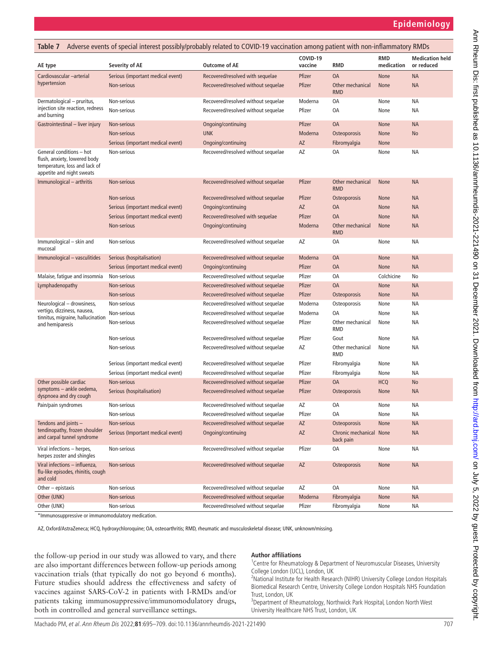<span id="page-12-0"></span>

| Table 7                                                                                                                |                                   | Adverse events of special interest possibly/probably related to COVID-19 vaccination among patient with non-inflammatory RMDs |                     |                                      |                   |                                      |
|------------------------------------------------------------------------------------------------------------------------|-----------------------------------|-------------------------------------------------------------------------------------------------------------------------------|---------------------|--------------------------------------|-------------------|--------------------------------------|
| AE type                                                                                                                | <b>Severity of AE</b>             | <b>Outcome of AE</b>                                                                                                          | COVID-19<br>vaccine | <b>RMD</b>                           | RMD<br>medication | <b>Medication held</b><br>or reduced |
| Cardiovascular -arterial                                                                                               | Serious (important medical event) | Recovered/resolved with sequelae                                                                                              | Pfizer              | <b>OA</b>                            | None              | <b>NA</b>                            |
| hypertension                                                                                                           | Non-serious                       | Recovered/resolved without sequelae                                                                                           | Pfizer              | Other mechanical<br><b>RMD</b>       | None              | <b>NA</b>                            |
| Dermatological - pruritus,                                                                                             | Non-serious                       | Recovered/resolved without sequelae                                                                                           | Moderna             | 0A                                   | None              | ΝA                                   |
| injection site reaction, redness<br>and burning                                                                        | Non-serious                       | Recovered/resolved without sequelae                                                                                           | Pfizer              | 0A                                   | None              | ΝA                                   |
| Gastrointestinal - liver injury                                                                                        | Non-serious                       | Ongoing/continuing                                                                                                            | Pfizer              | <b>OA</b>                            | None              | <b>NA</b>                            |
|                                                                                                                        | Non-serious                       | <b>UNK</b>                                                                                                                    | Moderna             | Osteoporosis                         | None              | No                                   |
|                                                                                                                        | Serious (important medical event) | Ongoing/continuing                                                                                                            | AZ                  | Fibromyalgia                         | None              |                                      |
| General conditions - hot<br>flush, anxiety, lowered body<br>temperature, loss and lack of<br>appetite and night sweats | Non-serious                       | Recovered/resolved without sequelae                                                                                           | AZ                  | 0A                                   | None              | ΝA                                   |
| Immunological - arthritis                                                                                              | Non-serious                       | Recovered/resolved without sequelae                                                                                           | Pfizer              | Other mechanical<br><b>RMD</b>       | None              | <b>NA</b>                            |
|                                                                                                                        | Non-serious                       | Recovered/resolved without sequelae                                                                                           | Pfizer              | Osteoporosis                         | None              | <b>NA</b>                            |
|                                                                                                                        | Serious (important medical event) | Ongoing/continuing                                                                                                            | AZ                  | 0A                                   | None              | <b>NA</b>                            |
|                                                                                                                        | Serious (important medical event) | Recovered/resolved with sequelae                                                                                              | Pfizer              | <b>OA</b>                            | None              | <b>NA</b>                            |
|                                                                                                                        | Non-serious                       | Ongoing/continuing                                                                                                            | Moderna             | Other mechanical<br><b>RMD</b>       | None              | <b>NA</b>                            |
| Immunological - skin and<br>mucosal                                                                                    | Non-serious                       | Recovered/resolved without sequelae                                                                                           | AZ                  | 0A                                   | None              | ΝA                                   |
| Immunological - vasculitides                                                                                           | Serious (hospitalisation)         | Recovered/resolved without sequelae                                                                                           | Moderna             | <b>OA</b>                            | None              | <b>NA</b>                            |
|                                                                                                                        | Serious (important medical event) | Ongoing/continuing                                                                                                            | Pfizer              | <b>OA</b>                            | None              | <b>NA</b>                            |
| Malaise, fatigue and insomnia                                                                                          | Non-serious                       | Recovered/resolved without sequelae                                                                                           | Pfizer              | 0A                                   | Colchicine        | No                                   |
| Lymphadenopathy                                                                                                        | Non-serious                       | Recovered/resolved without sequelae                                                                                           | Pfizer              | <b>OA</b>                            | None              | <b>NA</b>                            |
|                                                                                                                        | Non-serious                       | Recovered/resolved without sequelae                                                                                           | Pfizer              | Osteoporosis                         | None              | <b>NA</b>                            |
| Neurological - drowsiness,                                                                                             | Non-serious                       | Recovered/resolved without sequelae                                                                                           | Moderna             | Osteoporosis                         | None              | ΝA                                   |
| vertigo, dizziness, nausea,                                                                                            | Non-serious                       | Recovered/resolved without sequelae                                                                                           | Moderna             | 0A                                   | None              | ΝA                                   |
| tinnitus, migraine, hallucination<br>and hemiparesis                                                                   | Non-serious                       | Recovered/resolved without sequelae                                                                                           | Pfizer              | Other mechanical<br>RMD              | None              | ΝA                                   |
|                                                                                                                        | Non-serious                       | Recovered/resolved without sequelae                                                                                           | Pfizer              | Gout                                 | None              | ΝA                                   |
|                                                                                                                        | Non-serious                       | Recovered/resolved without sequelae                                                                                           | AZ                  | Other mechanical<br>RMD              | None              | ΝA                                   |
|                                                                                                                        | Serious (important medical event) | Recovered/resolved without sequelae                                                                                           | Pfizer              | Fibromyalgia                         | None              | ΝA                                   |
|                                                                                                                        | Serious (important medical event) | Recovered/resolved without sequelae                                                                                           | Pfizer              | Fibromyalgia                         | None              | ΝA                                   |
| Other possible cardiac                                                                                                 | Non-serious                       | Recovered/resolved without sequelae                                                                                           | Pfizer              | <b>OA</b>                            | <b>HCQ</b>        | No                                   |
| symptoms - ankle oedema,<br>dyspnoea and dry cough                                                                     | Serious (hospitalisation)         | Recovered/resolved without sequelae                                                                                           | Pfizer              | Osteoporosis                         | None              | <b>NA</b>                            |
| Pain/pain syndromes                                                                                                    | Non-serious                       | Recovered/resolved without sequelae                                                                                           | AZ                  | 0A                                   | None              | ΝA                                   |
|                                                                                                                        | Non-serious                       | Recovered/resolved without sequelae                                                                                           | Pfizer              | 0A                                   | None              | ΝA                                   |
| Tendons and joints -                                                                                                   | Non-serious                       | Recovered/resolved without sequelae                                                                                           | AZ                  | Osteoporosis                         | None              | <b>NA</b>                            |
| tendinopathy, frozen shoulder<br>and carpal tunnel syndrome                                                            | Serious (Important medical event) | Ongoing/continuing                                                                                                            | AZ                  | Chronic mechanical None<br>back pain |                   | <b>NA</b>                            |
| Viral infections - herpes,<br>herpes zoster and shingles                                                               | Non-serious                       | Recovered/resolved without sequelae                                                                                           | Pfizer              | 0A                                   | None              | ΝA                                   |
| Viral infections - influenza,<br>flu-like episodes, rhinitis, cough<br>and cold                                        | Non-serious                       | Recovered/resolved without sequelae                                                                                           | AZ                  | Osteoporosis                         | None              | <b>NA</b>                            |
| Other $-$ epistaxis                                                                                                    | Non-serious                       | Recovered/resolved without sequelae                                                                                           | AZ                  | 0A                                   | None              | ΝA                                   |
| Other (UNK)                                                                                                            | Non-serious                       | Recovered/resolved without sequelae                                                                                           | Moderna             | Fibromyalgia                         | None              | <b>NA</b>                            |
| Other (UNK)                                                                                                            | Non-serious                       | Recovered/resolved without sequelae                                                                                           | Pfizer              | Fibromyalgia                         | None              | ΝA                                   |
|                                                                                                                        |                                   |                                                                                                                               |                     |                                      |                   |                                      |

\*Immunosuppressive or immunomodulatory medication.

AZ, Oxford/AstraZeneca; HCQ, hydroxychloroquine; OA, osteoarthritis; RMD, rheumatic and musculoskeletal disease; UNK, unknown/missing.

the follow-up period in our study was allowed to vary, and there are also important differences between follow-up periods among vaccination trials (that typically do not go beyond 6 months). Future studies should address the effectiveness and safety of vaccines against SARS-CoV-2 in patients with I-RMDs and/or patients taking immunosuppressive/immunomodulatory drugs, both in controlled and general surveillance settings.

#### **Author affiliations**

<sup>1</sup> Centre for Rheumatology & Department of Neuromuscular Diseases, University College London (UCL), London, UK

<sup>2</sup> National Institute for Health Research (NIHR) University College London Hospitals Biomedical Research Centre, University College London Hospitals NHS Foundation Trust, London, UK

<sup>3</sup>Department of Rheumatology, Northwick Park Hospital, London North West University Healthcare NHS Trust, London, UK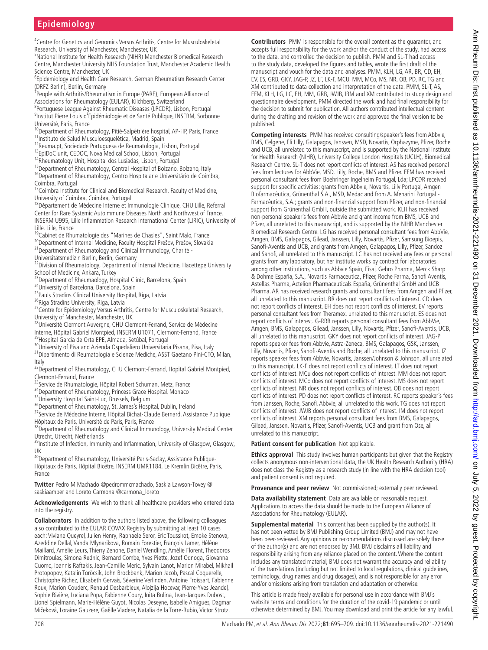## **Epidemiology**

<sup>4</sup> Centre for Genetics and Genomics Versus Arthritis, Centre for Musculoskeletal Research, University of Manchester, Manchester, UK

5 National Institute for Health Research (NIHR) Manchester Biomedical Research Centre, Manchester University NHS Foundation Trust, Manchester Academic Health Science Centre, Manchester, UK

6 Epidemiology and Health Care Research, German Rheumatism Research Center (DRFZ Berlin), Berlin, Germany

<sup>7</sup> People with Arthritis/Rheumatism in Europe (PARE), European Alliance of Associations for Rheumatology (EULAR), Kilchberg, Switzerland

8 Portuguese League Against Rheumatic Diseases (LPCDR), Lisbon, Portugal 9 Institut Pierre Louis d'Epidémiologie et de Santé Publique, INSERM, Sorbonne Université, Paris, France

<sup>10</sup>Department of Rheumatology, Pitié-Salpêtrière hospital, AP-HP, Paris, France<br><sup>11</sup>Instituto de Salud Musculoesquelética, Madrid, Spain

<sup>12</sup>Reuma.pt, Sociedade Portuguesa de Reumatologia, Lisbon, Portugal  $^{13}$ EpiDoC unit, CEDOC, Nova Medical School, Lisbon, Portugal

14Rheumatology Unit, Hospital dos Lusíadas, Lisbon, Portugal

<sup>15</sup>Department of Rheumatology, Central Hospital of Bolzano, Bolzano, Italy

<sup>16</sup>Department of Rheumatology, Centro Hospitalar e Universitário de Coimbra, Coimbra, Portugal

<sup>17</sup>Coimbra Institute for Clinical and Biomedical Research, Faculty of Medicine, University of Coimbra, Coimbra, Portugal

<sup>18</sup>Département de Médecine Interne et Immunologie Clinique, CHU Lille, Referral Center for Rare Systemic Autoimmune Diseases North and Northwest of France, INSERM U995, Lille Inflammation Research International Center (LIRIC), University of Lille, Lille, France

<sup>19</sup>Cabinet de Rhumatologie des "Marines de Chasles", Saint Malo, France

<sup>20</sup>Department of Internal Medicine, Faculty Hospital Prešov, Prešov, Slovakia

<sup>21</sup>Department of Rheumatology and Clinical Immunology, Charité -

Universitätsmedizin Berlin, Berlin, Germany

<sup>22</sup>Division of Rheumatology, Department of Internal Medicine, Hacettepe University

School of Medicine, Ankara, Turkey<br><sup>23</sup>Department of Rheumaology, Hospital Clinic, Barcelona, Spain

<sup>24</sup>University of Barcelona, Barcelona, Spain

<sup>25</sup>Pauls Stradins Clinical University Hospital, Riga, Latvia

<sup>26</sup>Riga Stradins University, Riga, Latvia

<sup>27</sup>Centre for Epidemiology Versus Arthritis, Centre for Musculoskeletal Research,

University of Manchester, Manchester, UK<br><sup>28</sup>Université Clermont Auvergne, CHU Clermont-Ferrand, Service de Médecine Interne, Hôpital Gabriel Montpied, INSERM U1071, Clermont-Ferrand, France <sup>29</sup>Hospital Garcia de Orta EPE, Almada, Setúbal, Portugal

<sup>30</sup>University of Pisa and Azienda Ospedaliero Universitaria Pisana, Pisa, Italy

31Dipartimento di Reumatologia e Scienze Mediche, ASST Gaetano Pini-CTO, Milan, Italy

32Department of Rheumatology, CHU Clermont-Ferrand, Hopital Gabriel Montpied, Clermont-Ferrand, France<br><sup>33</sup>Service de Rhumatologie, Hôpital Robert Schuman, Metz, France

<sup>34</sup>Department of Rheumatology, Princess Grace Hospital, Monaco<br><sup>35</sup>University Hospital Saint-Luc, Brussels, Belgium

<sup>36</sup>Department of Rheumatology, St. James's Hospital, Dublin, Ireland

<sup>37</sup>Service de Médecine Interne, Hôpital Bichat-Claude Bernard, Assistance Publique

Hôpitaux de Paris, Université de Paris, Paris, France <sup>38</sup>Department of Rheumatology and Clinical Immunology, University Medical Center Utrecht, Utrecht, Netherlands

<sup>39</sup>Institute of Infection, Immunity and Inflammation, University of Glasgow, Glasgow, UK

<sup>40</sup>Department of Rheumatology, Université Paris-Saclay, Assistance Publique-Hôpitaux de Paris, Hôpital Bicêtre, INSERM UMR1184, Le Kremlin Bicêtre, Paris, France

**Twitter** Pedro M Machado [@pedrommcmachado](https://twitter.com/pedrommcmachado), Saskia Lawson-Tovey [@](https://twitter.com/saskiaamber) [saskiaamber](https://twitter.com/saskiaamber) and Loreto Carmona [@carmona\\_loreto](https://twitter.com/carmona_loreto)

**Acknowledgements** We wish to thank all healthcare providers who entered data into the registry.

**Collaborators** In addition to the authors listed above, the following colleagues also contributed to the EULAR COVAX Registry by submitting at least 10 cases each: Viviane Queyrel, Julien Henry, Raphaele Seror, Eric Toussirot, Emoke Stenova, Azeddine Dellal, Vanda Mlynarikova, Romain Forestier, François Lamer, Hélène Maillard, Amélie Leurs, Thierry Zenone, Daniel Wendling, Amélie Florent, Theodoros Dimitroulas, Simona Rednic, Bernard Combe, Yves Piette, Jozef Odnoga, Giovanna Cuomo, Ioannis Raftakis, Jean-Camille Meric, Sylvain Lanot, Marion Mirabel, Mikhail Protopopov, Katalin Törõcsik, John Brockbank, Marion Jacob, Pascal Coquerelle, Christophe Richez, Elisabeth Gervais, Séverine Verlinden, Antoine Froissart, Fabienne Roux, Marion Couderc, Renaud Desbarbieux, Alojzija Hocevar, Pierre-Yves Jeandel, Sophie Rivière, Luciana Popa, Fabienne Coury, Inita Bulina, Jean-Jacques Dubost, Lionel Spielmann, Marie-Hélène Guyot, Nicolas Deseyne, Isabelle Amigues, Dagmar Mičeková, Loraine Gauzere, Gaëlle Viadere, Natalia de la Torre-Rubio, Victor Strotz.

**Contributors** PMM is responsible for the overall content as the guarantor, and accepts full responsibility for the work and/or the conduct of the study, had access to the data, and controlled the decision to publish. PMM and SL-T had access to the study data, developed the figures and tables, wrote the first draft of the manuscript and vouch for the data and analyses. PMM, KLH, LG, AR, BR, CD, EH, EV, ES, GRB, GKY, JAG-P, JZ, LF, LK-F, MCU, MM, MCo, MS, NR, OB, PD, RC, TG and XM contributed to data collection and interpretation of the data. PMM, SL-T, AS, EFM, KLH, LG, LC, EH, MM, GRB, JWJB, IBM and XM contributed to study design and questionnaire development. PMM directed the work and had final responsibility for the decision to submit for publication. All authors contributed intellectual content during the drafting and revision of the work and approved the final version to be published.

**Competing interests** PMM has received consulting/speaker's fees from Abbvie, BMS, Celgene, Eli Lilly, Galapagos, Janssen, MSD, Novartis, Orphazyme, Pfizer, Roche and UCB, all unrelated to this manuscript, and is supported by the National Institute for Health Research (NIHR), University College London Hospitals (UCLH), Biomedical Research Centre. SL-T does not report conflicts of interest. AS has received personal fees from lectures for AbbVie, MSD, Lilly, Roche, BMS and Pfizer. EFM has received personal consultant fees from Boehringer Ingelheim Portugal, Lda; LPCDR received support for specific activities: grants from Abbvie, Novartis, Lilly Portugal, Amgen Biofarmacêutica, Grünenthal S.A., MSD, Medac and from A. Menarini Portugal - Farmacêutica, S.A.; grants and non-financial support from Pfizer, and non-financial support from Grünenthal GmbH, outside the submitted work. KLH has received non-personal speaker's fees from Abbvie and grant income from BMS, UCB and Pfizer, all unrelated to this manuscript, and is supported by the NIHR Manchester Biomedical Research Centre. LG has received personal consultant fees from AbbVie, Amgen, BMS, Galapagos, Gilead, Janssen, Lilly, Novartis, Pfizer, Samsung Bioepis, Sanofi-Aventis and UCB, and grants from Amgen, Galapagos, Lilly, Pfizer, Sandoz and Sanofi, all unrelated to this manuscript. LC has not received any fees or personal grants from any laboratory, but her institute works by contract for laboratories among other institutions, such as Abbvie Spain, Eisai, Gebro Pharma, Merck Sharp & Dohme España, S.A., Novartis Farmaceutica, Pfizer, Roche Farma, Sanofi Aventis, Astellas Pharma, Actelion Pharmaceuticals España, Grünenthal GmbH and UCB Pharma. AR has received research grants and consultant fees from Amgen and Pfizer, all unrelated to this manuscript. BR does not report conflicts of interest. CD does not report conflicts of interest. EH does not report conflicts of interest. EV reports personal consultant fees from Theramex, unrelated to this manuscript. ES does not report conflicts of interest. G-RRB reports personal consultant fees from AbbVie, Amgen, BMS, Galapagos, Gilead, Janssen, Lilly, Novartis, Pfizer, Sanofi-Aventis, UCB, all unrelated to this manuscript. GKY does not report conflicts of interest. JAG-P reports speaker fees from Abbvie, Astra-Zeneca, BMS, Galapagos, GSK, Janssen, Lilly, Novartis, Pfizer, Sanofi-Aventis and Roche, all unrelated to this manuscript. JZ reports speaker fees from Abbvie, Novartis, Janssen/Johnson & Johnson, all unrelated to this manuscript. LK-F does not report conflicts of interest. LT does not report conflicts of interest. MCu does not report conflicts of interest. MM does not report conflicts of interest. MCo does not report conflicts of interest. MS does not report conflicts of interest. NR does not report conflicts of interest. OB does not report conflicts of interest. PD does not report conflicts of interest. RC reports speaker's fees from Janssen, Roche, Sanofi, Abbvie, all unrelated to this work. TG does not report conflicts of interest. JWJB does not report conflicts of interest. IM does not report conflicts of interest. XM reports personal consultant fees from BMS, Galapagos, Gilead, Janssen, Novartis, Pfizer, Sanofi-Aventis, UCB and grant from Ose, all unrelated to this manuscript.

**Patient consent for publication** Not applicable.

**Ethics approval** This study involves human participants but given that the Registry collects anonymous non-interventional data, the UK Health Research Authority (HRA) does not class the Registry as a research study (in line with the HRA decision tool) and patient consent is not required.

**Provenance and peer review** Not commissioned; externally peer reviewed.

**Data availability statement** Data are available on reasonable request. Applications to access the data should be made to the European Alliance of Associations for Rheumatology (EULAR).

**Supplemental material** This content has been supplied by the author(s). It has not been vetted by BMJ Publishing Group Limited (BMJ) and may not have been peer-reviewed. Any opinions or recommendations discussed are solely those of the author(s) and are not endorsed by BMJ. BMJ disclaims all liability and responsibility arising from any reliance placed on the content. Where the content includes any translated material, BMJ does not warrant the accuracy and reliability of the translations (including but not limited to local regulations, clinical guidelines, terminology, drug names and drug dosages), and is not responsible for any error and/or omissions arising from translation and adaptation or otherwise.

This article is made freely available for personal use in accordance with BMJ's website terms and conditions for the duration of the covid-19 pandemic or until otherwise determined by BMJ. You may download and print the article for any lawful,